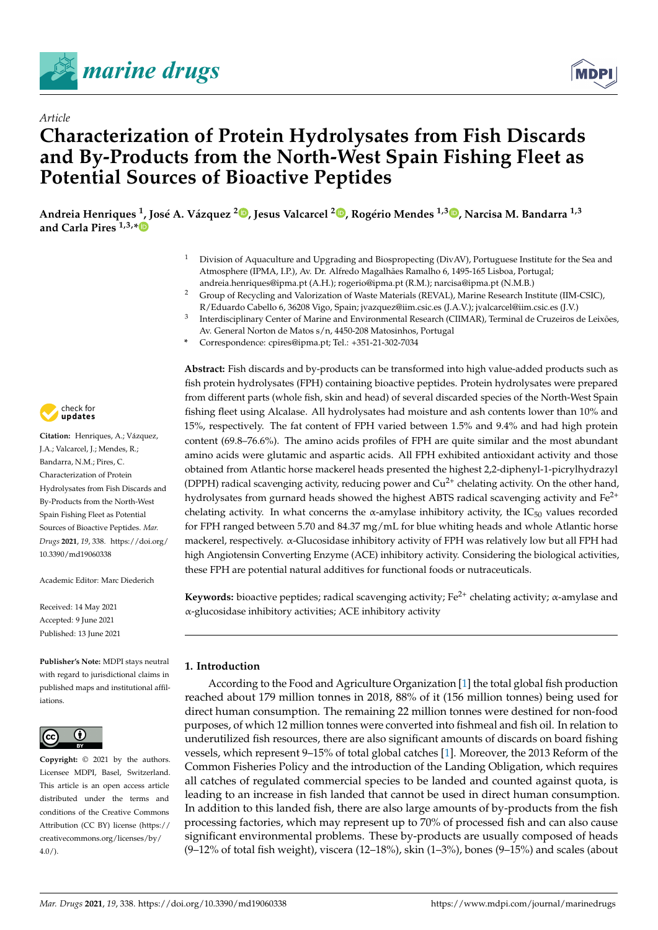



# **Characterization of Protein Hydrolysates from Fish Discards and By-Products from the North-West Spain Fishing Fleet as Potential Sources of Bioactive Peptides**

Andreia Henriques <sup>1</sup>[,](https://orcid.org/0000-0003-4272-865X) José A. Vázquez <sup>2</sup>®, Jesus Valcarcel <sup>2</sup>®, Rogério Mendes <sup>1,3</sup>®, Narcisa M. Bandarra <sup>1,3</sup> **and Carla Pires 1,3,[\\*](https://orcid.org/0000-0003-3772-2050)**

- <sup>1</sup> Division of Aquaculture and Upgrading and Biospropecting (DivAV), Portuguese Institute for the Sea and Atmosphere (IPMA, I.P.), Av. Dr. Alfredo Magalhães Ramalho 6, 1495-165 Lisboa, Portugal; andreia.henriques@ipma.pt (A.H.); rogerio@ipma.pt (R.M.); narcisa@ipma.pt (N.M.B.)
- <sup>2</sup> Group of Recycling and Valorization of Waste Materials (REVAL), Marine Research Institute (IIM-CSIC), R/Eduardo Cabello 6, 36208 Vigo, Spain; jvazquez@iim.csic.es (J.A.V.); jvalcarcel@iim.csic.es (J.V.)
- 3 Interdisciplinary Center of Marine and Environmental Research (CIIMAR), Terminal de Cruzeiros de Leixões, Av. General Norton de Matos s/n, 4450-208 Matosinhos, Portugal
- **\*** Correspondence: cpires@ipma.pt; Tel.: +351-21-302-7034

**Abstract:** Fish discards and by-products can be transformed into high value-added products such as fish protein hydrolysates (FPH) containing bioactive peptides. Protein hydrolysates were prepared from different parts (whole fish, skin and head) of several discarded species of the North-West Spain fishing fleet using Alcalase. All hydrolysates had moisture and ash contents lower than 10% and 15%, respectively. The fat content of FPH varied between 1.5% and 9.4% and had high protein content (69.8–76.6%). The amino acids profiles of FPH are quite similar and the most abundant amino acids were glutamic and aspartic acids. All FPH exhibited antioxidant activity and those obtained from Atlantic horse mackerel heads presented the highest 2,2-diphenyl-1-picrylhydrazyl (DPPH) radical scavenging activity, reducing power and  $Cu^{2+}$  chelating activity. On the other hand, hydrolysates from gurnard heads showed the highest ABTS radical scavenging activity and  $Fe<sup>2+</sup>$ chelating activity. In what concerns the  $\alpha$ -amylase inhibitory activity, the IC<sub>50</sub> values recorded for FPH ranged between 5.70 and 84.37 mg/mL for blue whiting heads and whole Atlantic horse mackerel, respectively. α-Glucosidase inhibitory activity of FPH was relatively low but all FPH had high Angiotensin Converting Enzyme (ACE) inhibitory activity. Considering the biological activities, these FPH are potential natural additives for functional foods or nutraceuticals.

**Keywords:** bioactive peptides; radical scavenging activity; Fe2+ chelating activity; α-amylase and α-glucosidase inhibitory activities; ACE inhibitory activity

# **1. Introduction**

According to the Food and Agriculture Organization [\[1\]](#page-16-0) the total global fish production reached about 179 million tonnes in 2018, 88% of it (156 million tonnes) being used for direct human consumption. The remaining 22 million tonnes were destined for non-food purposes, of which 12 million tonnes were converted into fishmeal and fish oil. In relation to underutilized fish resources, there are also significant amounts of discards on board fishing vessels, which represent 9–15% of total global catches [\[1\]](#page-16-0). Moreover, the 2013 Reform of the Common Fisheries Policy and the introduction of the Landing Obligation, which requires all catches of regulated commercial species to be landed and counted against quota, is leading to an increase in fish landed that cannot be used in direct human consumption. In addition to this landed fish, there are also large amounts of by-products from the fish processing factories, which may represent up to 70% of processed fish and can also cause significant environmental problems. These by-products are usually composed of heads (9–12% of total fish weight), viscera (12–18%), skin (1–3%), bones (9–15%) and scales (about



*Article*

**Citation:** Henriques, A.; Vázquez, J.A.; Valcarcel, J.; Mendes, R.; Bandarra, N.M.; Pires, C. Characterization of Protein Hydrolysates from Fish Discards and By-Products from the North-West Spain Fishing Fleet as Potential Sources of Bioactive Peptides. *Mar. Drugs* **2021**, *19*, 338. [https://doi.org/](https://doi.org/10.3390/md19060338) [10.3390/md19060338](https://doi.org/10.3390/md19060338)

Academic Editor: Marc Diederich

Received: 14 May 2021 Accepted: 9 June 2021 Published: 13 June 2021

**Publisher's Note:** MDPI stays neutral with regard to jurisdictional claims in published maps and institutional affiliations.



**Copyright:** © 2021 by the authors. Licensee MDPI, Basel, Switzerland. This article is an open access article distributed under the terms and conditions of the Creative Commons Attribution (CC BY) license (https:/[/](https://creativecommons.org/licenses/by/4.0/) [creativecommons.org/licenses/by/](https://creativecommons.org/licenses/by/4.0/)  $4.0/$ ).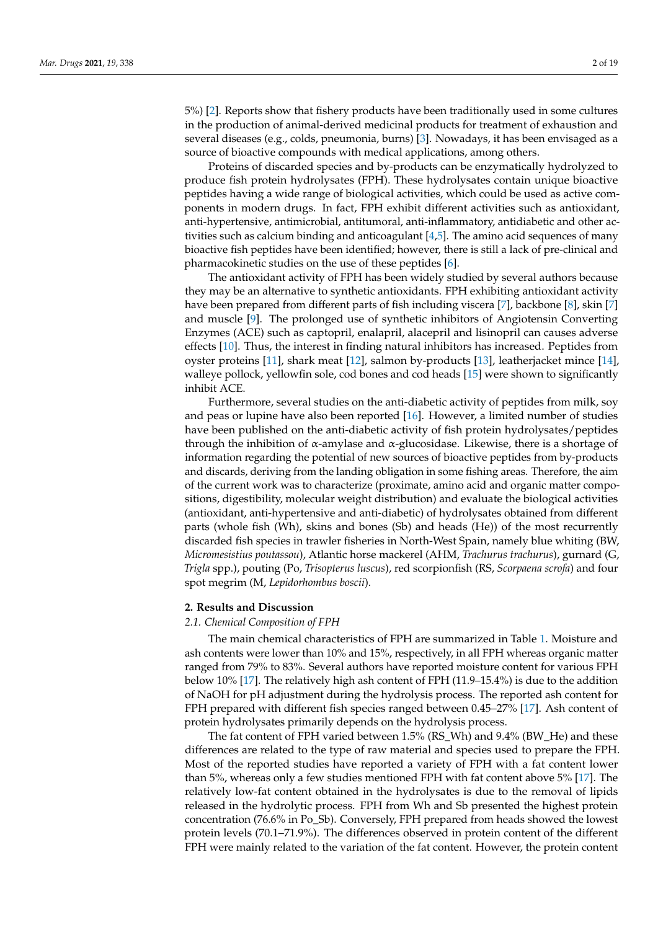5%) [\[2\]](#page-16-1). Reports show that fishery products have been traditionally used in some cultures in the production of animal-derived medicinal products for treatment of exhaustion and several diseases (e.g., colds, pneumonia, burns) [\[3\]](#page-16-2). Nowadays, it has been envisaged as a source of bioactive compounds with medical applications, among others.

Proteins of discarded species and by-products can be enzymatically hydrolyzed to produce fish protein hydrolysates (FPH). These hydrolysates contain unique bioactive peptides having a wide range of biological activities, which could be used as active components in modern drugs. In fact, FPH exhibit different activities such as antioxidant, anti-hypertensive, antimicrobial, antitumoral, anti-inflammatory, antidiabetic and other activities such as calcium binding and anticoagulant  $[4,5]$  $[4,5]$ . The amino acid sequences of many bioactive fish peptides have been identified; however, there is still a lack of pre-clinical and pharmacokinetic studies on the use of these peptides [\[6\]](#page-16-5).

The antioxidant activity of FPH has been widely studied by several authors because they may be an alternative to synthetic antioxidants. FPH exhibiting antioxidant activity have been prepared from different parts of fish including viscera [\[7\]](#page-16-6), backbone [\[8\]](#page-16-7), skin [\[7\]](#page-16-6) and muscle [\[9\]](#page-16-8). The prolonged use of synthetic inhibitors of Angiotensin Converting Enzymes (ACE) such as captopril, enalapril, alacepril and lisinopril can causes adverse effects [\[10\]](#page-16-9). Thus, the interest in finding natural inhibitors has increased. Peptides from oyster proteins [\[11\]](#page-16-10), shark meat [\[12\]](#page-16-11), salmon by-products [\[13\]](#page-16-12), leatherjacket mince [\[14\]](#page-16-13), walleye pollock, yellowfin sole, cod bones and cod heads [\[15\]](#page-16-14) were shown to significantly inhibit ACE.

Furthermore, several studies on the anti-diabetic activity of peptides from milk, soy and peas or lupine have also been reported [\[16\]](#page-16-15). However, a limited number of studies have been published on the anti-diabetic activity of fish protein hydrolysates/peptides through the inhibition of α-amylase and α-glucosidase. Likewise, there is a shortage of information regarding the potential of new sources of bioactive peptides from by-products and discards, deriving from the landing obligation in some fishing areas. Therefore, the aim of the current work was to characterize (proximate, amino acid and organic matter compositions, digestibility, molecular weight distribution) and evaluate the biological activities (antioxidant, anti-hypertensive and anti-diabetic) of hydrolysates obtained from different parts (whole fish (Wh), skins and bones (Sb) and heads (He)) of the most recurrently discarded fish species in trawler fisheries in North-West Spain, namely blue whiting (BW, *Micromesistius poutassou*), Atlantic horse mackerel (AHM, *Trachurus trachurus*), gurnard (G, *Trigla* spp.), pouting (Po, *Trisopterus luscus*), red scorpionfish (RS, *Scorpaena scrofa*) and four spot megrim (M, *Lepidorhombus boscii*).

#### **2. Results and Discussion**

#### *2.1. Chemical Composition of FPH*

The main chemical characteristics of FPH are summarized in Table [1.](#page-3-0) Moisture and ash contents were lower than 10% and 15%, respectively, in all FPH whereas organic matter ranged from 79% to 83%. Several authors have reported moisture content for various FPH below 10% [\[17\]](#page-16-16). The relatively high ash content of FPH (11.9–15.4%) is due to the addition of NaOH for pH adjustment during the hydrolysis process. The reported ash content for FPH prepared with different fish species ranged between 0.45–27% [\[17\]](#page-16-16). Ash content of protein hydrolysates primarily depends on the hydrolysis process.

The fat content of FPH varied between 1.5% (RS\_Wh) and 9.4% (BW\_He) and these differences are related to the type of raw material and species used to prepare the FPH. Most of the reported studies have reported a variety of FPH with a fat content lower than 5%, whereas only a few studies mentioned FPH with fat content above 5% [\[17\]](#page-16-16). The relatively low-fat content obtained in the hydrolysates is due to the removal of lipids released in the hydrolytic process. FPH from Wh and Sb presented the highest protein concentration (76.6% in Po\_Sb). Conversely, FPH prepared from heads showed the lowest protein levels (70.1–71.9%). The differences observed in protein content of the different FPH were mainly related to the variation of the fat content. However, the protein content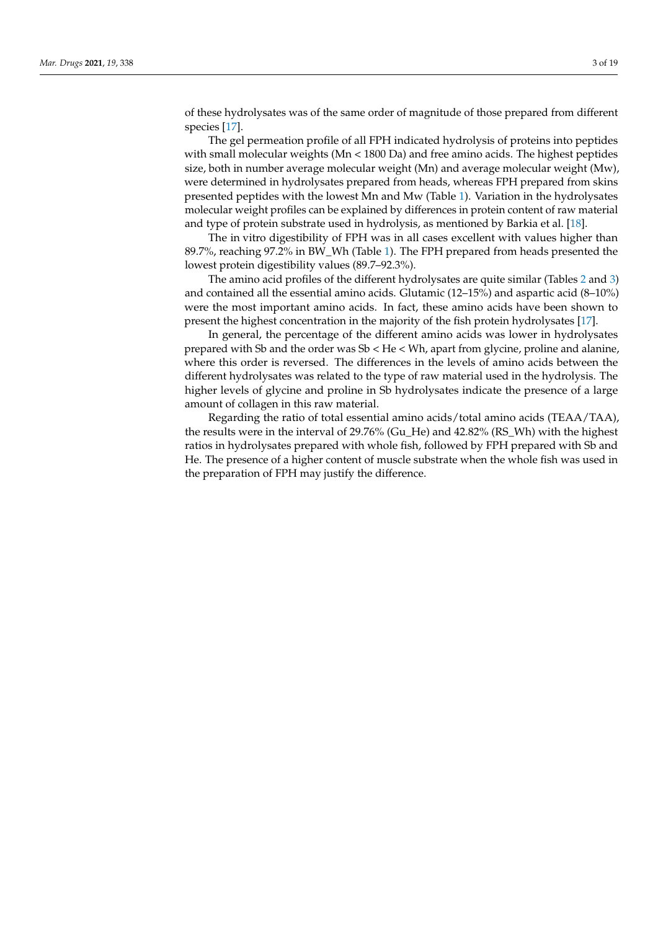of these hydrolysates was of the same order of magnitude of those prepared from different species [\[17\]](#page-16-16).

The gel permeation profile of all FPH indicated hydrolysis of proteins into peptides with small molecular weights ( $Mn < 1800$  Da) and free amino acids. The highest peptides size, both in number average molecular weight (Mn) and average molecular weight (Mw), were determined in hydrolysates prepared from heads, whereas FPH prepared from skins presented peptides with the lowest Mn and Mw (Table [1\)](#page-3-0). Variation in the hydrolysates molecular weight profiles can be explained by differences in protein content of raw material and type of protein substrate used in hydrolysis, as mentioned by Barkia et al. [\[18\]](#page-16-17).

The in vitro digestibility of FPH was in all cases excellent with values higher than 89.7%, reaching 97.2% in BW\_Wh (Table [1\)](#page-3-0). The FPH prepared from heads presented the lowest protein digestibility values (89.7–92.3%).

The amino acid profiles of the different hydrolysates are quite similar (Tables [2](#page-4-0) and [3\)](#page-5-0) and contained all the essential amino acids. Glutamic (12–15%) and aspartic acid (8–10%) were the most important amino acids. In fact, these amino acids have been shown to present the highest concentration in the majority of the fish protein hydrolysates [\[17\]](#page-16-16).

In general, the percentage of the different amino acids was lower in hydrolysates prepared with Sb and the order was Sb < He < Wh, apart from glycine, proline and alanine, where this order is reversed. The differences in the levels of amino acids between the different hydrolysates was related to the type of raw material used in the hydrolysis. The higher levels of glycine and proline in Sb hydrolysates indicate the presence of a large amount of collagen in this raw material.

Regarding the ratio of total essential amino acids/total amino acids (TEAA/TAA), the results were in the interval of 29.76% (Gu\_He) and 42.82% (RS\_Wh) with the highest ratios in hydrolysates prepared with whole fish, followed by FPH prepared with Sb and He. The presence of a higher content of muscle substrate when the whole fish was used in the preparation of FPH may justify the difference.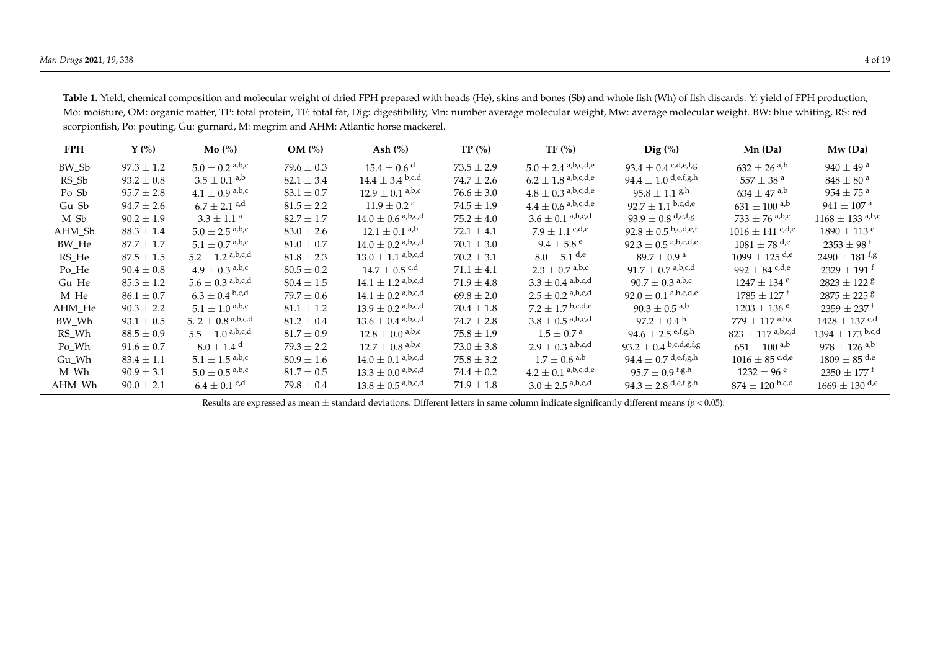| <b>FPH</b> | $\Upsilon$ (%) | Mo(%)                          | $OM(\%)$       | Ash $(\% )$                     | TP(%)          | TF(%)                         | $\text{Dig}(\% )$                         | $Mn$ (Da)                    | $Mw$ (Da)                              |
|------------|----------------|--------------------------------|----------------|---------------------------------|----------------|-------------------------------|-------------------------------------------|------------------------------|----------------------------------------|
| BW Sb      | $97.3 \pm 1.2$ | $5.0 + 0.2$ <sup>a,b,c</sup>   | $79.6 + 0.3$   | $15.4 + 0.6$ <sup>d</sup>       | $73.5 + 2.9$   | $5.0 \pm 2.4$ a,b,c,d,e       | 93.4 $\pm$ 0.4 <sup>c,d,e,f,g</sup>       | $632 + 26$ <sup>a,b</sup>    | $940 + 49$ <sup>a</sup>                |
| RS Sb      | $93.2 \pm 0.8$ | $3.5 + 0.1$ <sup>a,b</sup>     | $82.1 + 3.4$   | $14.4 + 3.4$ b,c,d              | $74.7 + 2.6$   | $6.2 \pm 1.8$ a,b,c,d,e       | $94.4 + 1.0$ d,e,f,g,h                    | $557 + 38$ <sup>a</sup>      | $848 + 80^{a}$                         |
| Po Sb      | $95.7 \pm 2.8$ | $4.1 + 0.9$ a,b,c              | $83.1 \pm 0.7$ | $12.9 + 0.1$ a,b,c              | $76.6 \pm 3.0$ | $4.8 \pm 0.3$ a,b,c,d,e       | $95.8 + 1.1$ g <sub>h</sub>               | $634 + 47$ <sup>a,b</sup>    | $954 + 75$ <sup>a</sup>                |
| Gu Sb      | $94.7 + 2.6$   | $6.7 + 2.1$ c,d                | $81.5 + 2.2$   | $11.9 + 0.2$ <sup>a</sup>       | $74.5 + 1.9$   | $4.4 \pm 0.6$ a,b,c,d,e       | $92.7 + 1.1$ b,c,d,e                      | $631 + 100$ <sup>a,b</sup>   | $941 + 107$ <sup>a</sup>               |
| M Sb       | $90.2 \pm 1.9$ | $3.3 + 1.1$ <sup>a</sup>       | $82.7 + 1.7$   | $14.0 \pm 0.6$ a,b,c,d          | $75.2 + 4.0$   | $3.6 \pm 0.1$ a,b,c,d         | 93.9 $\pm$ 0.8 <sup>d,e,f,g</sup>         | $733 \pm 76$ a,b,c           | $1168 + 133$ a,b,c                     |
| AHM Sb     | $88.3 \pm 1.4$ | $5.0 + 2.5$ <sup>a,b,c</sup>   | $83.0 \pm 2.6$ | $12.1 + 0.1$ <sup>a,b</sup>     | $72.1 + 4.1$   | $7.9 \pm 1.1$ c,d,e           | $92.8 \pm 0.5$ b,c,d,e,f                  | $1016 + 141$ c,d,e           | $1890 + 113$ <sup>e</sup>              |
| BW He      | $87.7 \pm 1.7$ | $5.1 + 0.7$ <sup>a,b,c</sup>   | $81.0 + 0.7$   | $14.0 + 0.2$ a,b,c,d            | $70.1 + 3.0$   | $9.4 + 5.8$ <sup>e</sup>      | $92.3 + 0.5$ a,b,c,d,e                    | $1081 + 78$ d <sub>r</sub> e | $2353 + 98$ <sup>t</sup>               |
| RS He      | $87.5 \pm 1.5$ | $5.2 + 1.2$ <sup>a,b,c,d</sup> | $81.8 + 2.3$   | $13.0 + 1.1$ a,b,c,d            | $70.2 + 3.1$   | $8.0 \pm 5.1$ d <sub>,e</sub> | $89.7 + 0.9^{\text{a}}$                   | $1099 + 125$ d <sub>/e</sub> | $7490 + 181$ <sup>f<sub>,8</sub></sup> |
| Po He      | $90.4 \pm 0.8$ | $4.9 + 0.3$ <sup>a,b,c</sup>   | $80.5 \pm 0.2$ | $14.7 + 0.5$ <sup>c,d</sup>     | $71.1 \pm 4.1$ | $2.3 \pm 0.7$ a,b,c           | $91.7 \pm 0.7$ a,b,c,d                    | 992 + 84 $c,d,e$             | $2329 + 191$ <sup>t</sup>              |
| Gu He      | $85.3 \pm 1.2$ | $5.6 + 0.3$ <sup>a,b,c,d</sup> | $80.4 \pm 1.5$ | $14.1 \pm 1.2$ a,b,c,d          | $71.9 + 4.8$   | $3.3 \pm 0.4$ a,b,c,d         | $90.7 + 0.3$ <sup>a,b,c</sup>             | $1247 + 134$ <sup>e</sup>    | $2823 + 122$ g                         |
| M He       | $86.1 + 0.7$   | $6.3 \pm 0.4$ b,c,d            | $79.7 + 0.6$   | $14.1 + 0.2$ a,b,c,d            | $69.8 + 2.0$   | $2.5 \pm 0.2$ a,b,c,d         | $92.0 + 0.1$ a,b,c,d,e                    | $1785 + 127^{\text{ t}}$     | $2875 + 225$ g                         |
| AHM He     | $90.3 + 2.2$   | $5.1 \pm 1.0$ a,b,c            | $81.1 + 1.2$   | $13.9 + 0.2$ a,b,c,d            | $70.4 + 1.8$   | $72 + 17$ b,c,d,e             | $90.3 + 0.5$ <sup>a,b</sup>               | $1203 + 136$ <sup>e</sup>    | $2359 + 237$ <sup>t</sup>              |
| BW Wh      | $93.1 \pm 0.5$ | 5. 2 + 0.8 a,b,c,d             | $81.2 + 0.4$   | $13.6 + 0.4$ a,b,c,d            | $74.7 + 2.8$   | $3.8 + 0.5$ a,b,c,d           | $97.2 + 0.4$ <sup>h</sup>                 | $779 + 117$ a,b,c            | $1428 + 137$ c,d                       |
| RS Wh      | $88.5 \pm 0.9$ | $5.5 + 1.0$ a,b,c,d            | $81.7 + 0.9$   | $12.8 + 0.0$ a,b,c              | $75.8 + 1.9$   | $1.5 + 0.7^{\circ}$           | $94.6 + 2.5$ e,f,g,h                      | $823 + 117$ a,b,c,d          | $1394 + 173$ b,c,d                     |
| Po Wh      | $91.6 \pm 0.7$ | $8.0 + 1.4$ <sup>d</sup>       | $79.3 + 2.2$   | $12.7 + 0.8$ a,b,c              | $73.0 + 3.8$   | $2.9 + 0.3$ a,b,c,d           | 93.2 $\pm$ 0.4 b,c,d,e,f,g                | $651 + 100$ a,b              | $978 + 126$ <sup>a,b</sup>             |
| Gu Wh      | $83.4 \pm 1.1$ | $5.1 + 1.5$ <sup>a,b,c</sup>   | $80.9 \pm 1.6$ | $14.0 + 0.1$ a,b,c,d            | $75.8 \pm 3.2$ | $1.7 + 0.6$ <sup>a,b</sup>    | $94.4 \pm 0.7$ <sup>d,e,f,g,h</sup>       | $1016 + 85$ c,d,e            | $1809 + 85$ d <sub>r</sub> e           |
| M Wh       | $90.9 \pm 3.1$ | $5.0 \pm 0.5$ a,b,c            | $81.7 + 0.5$   | $13.3 + 0.0$ a,b,c,d            | $74.4 + 0.2$   | $4.2 \pm 0.1$ a,b,c,d,e       | $95.7 + 0.9$ <sup>t</sup> /s <sup>h</sup> | $1232 + 96$ e                | $2350 + 177$ $^{\rm t}$                |
| AHM Wh     | $90.0 \pm 2.1$ | $6.4 + 0.1$ c,d                | $79.8 \pm 0.4$ | $13.8 + 0.5$ <sup>a,b,c,d</sup> | $71.9 + 1.8$   | $3.0 \pm 2.5$ a,b,c,d         | $94.3 \pm 2.8$ <sup>d,e,f.g.h</sup>       | $874 \pm 120$ b,c,d          | $1669 + 130$ d <sub>r</sub> e          |

Table 1. Yield, chemical composition and molecular weight of dried FPH prepared with heads (He), skins and bones (Sb) and whole fish (Wh) of fish discards. Y: yield of FPH production, Mo: moisture, OM: organic matter, TP: total protein, TF: total fat, Dig: digestibility, Mn: number average molecular weight, Mw: average molecular weight. BW: blue whiting, RS: red scorpionfish, Po: pouting, Gu: gurnard, M: megrim and AHM: Atlantic horse mackerel.

<span id="page-3-0"></span>Results are expressed as mean ± standard deviations. Different letters in same column indicate significantly different means (*p* < 0.05).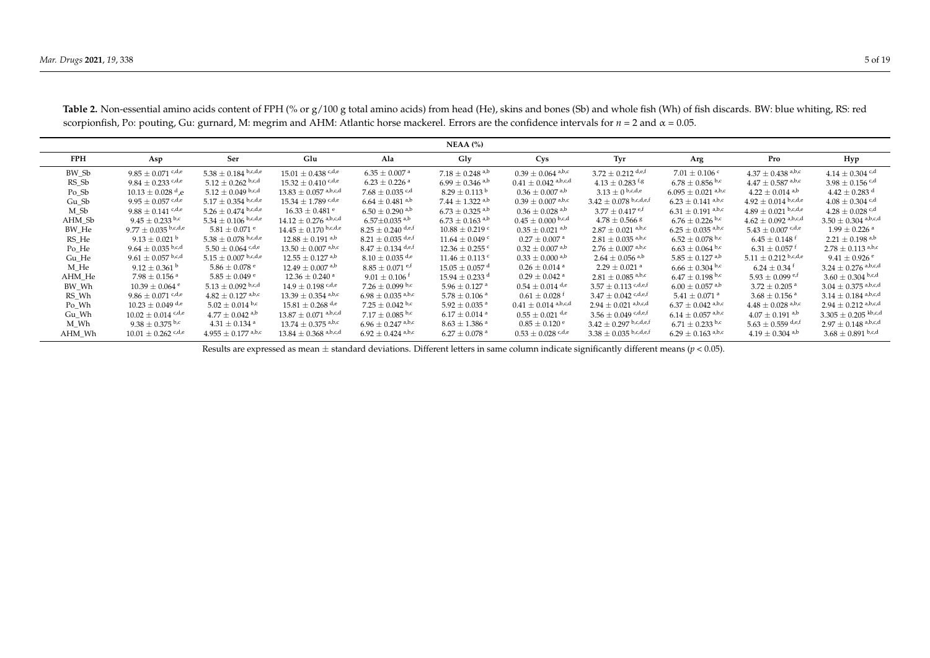|            |                                   |                                 |                                  |                                 | $NEAA$ $\left(\% \right)$       |                                  |                                     |                                    |                                 |                                   |
|------------|-----------------------------------|---------------------------------|----------------------------------|---------------------------------|---------------------------------|----------------------------------|-------------------------------------|------------------------------------|---------------------------------|-----------------------------------|
| <b>FPH</b> | Asp                               | Ser                             | Glu                              | Ala                             | Gly                             | Cys                              | Tyr                                 | Arg                                | Pro                             | Hyp                               |
| BW Sb      | $9.85 \pm 0.071$ <sup>c,d,e</sup> | $5.38 \pm 0.184$ b,c,d,e        | $15.01 \pm 0.438$ c,d,e          | $6.35 \pm 0.007$ <sup>a</sup>   | $7.18 \pm 0.248$ <sup>a,b</sup> | $0.39 \pm 0.064$ a,b,c           | $3.72 + 0.212$ d,e,f                | $7.01 \pm 0.106$ c                 | $4.37 \pm 0.438$ a,b,c          | $4.14 \pm 0.304$ c,d              |
| RS Sb      | $9.84 + 0.233$ c,d,e              | $5.12 \pm 0.262$ b,c,d          | $15.32 + 0.410$ c, d,e           | $6.23 + 0.226$ <sup>a</sup>     | $6.99 \pm 0.346$ <sup>a,b</sup> | $0.41 \pm 0.042$ a,b,c,d         | $4.13 + 0.283$ f/s                  | $6.78 \pm 0.856$ b.c               | $4.47 \pm 0.587$ a,b,c          | $3.98 \pm 0.156$ c,d              |
| $Po\_Sb$   | $10.13 \pm 0.028$ <sup>d</sup> .e | $5.12 \pm 0.049$ b,c,d          | $13.83 \pm 0.057$ a,b,c,d        | $7.68 \pm 0.035$ <sup>c,d</sup> | $8.29 \pm 0.113$ <sup>b</sup>   | $0.36 \pm 0.007$ <sup>a,b</sup>  | $3.13 \pm 0$ b,c,d,e                | $6.095 \pm 0.021$ <sup>a,b,c</sup> | $4.22 \pm 0.014$ <sup>a,b</sup> | $4.42 \pm 0.283$ <sup>d</sup>     |
| Gu Sb      | $9.95 + 0.057$ c, d, e            | $5.17 \pm 0.354$ b,c,d,e        | $15.34 + 1.789$ c,d,e            | $6.64 + 0.481$ <sup>a,b</sup>   | $7.44 + 1.322$ <sup>a,b</sup>   | $0.39 + 0.007$ <sup>a,b,c</sup>  | $3.42 \pm 0.078$ b,c,d,e,f          | $6.23 \pm 0.141$ a,b,c             | $4.92 \pm 0.014$ b,c,d,e        | $4.08 + 0.304$ c,d                |
| M Sb       | $9.88 \pm 0.141$ <sup>c,d,e</sup> | $5.26 + 0.474$ b,c,d,e          | $16.33 + 0.481$ <sup>e</sup>     | $6.50 + 0.290$ <sup>a,b</sup>   | $6.73 + 0.325$ <sup>a,b</sup>   | $0.36 \pm 0.028$ <sup>a,b</sup>  | $3.77 + 0.417$ e.f                  | $6.31 \pm 0.191$ <sup>a,b,c</sup>  | $4.89 \pm 0.021$ b,c,d,e        | $4.28 + 0.028$ c,d                |
| AHM Sb     | $9.45 + 0.233$ b.c                | $5.34 \pm 0.106$ b,c,d,e        | $14.12 \pm 0.276$ a,b,c,d        | $6.57 \pm 0.035$ <sup>a,b</sup> | $6.73 \pm 0.163$ a,b            | $0.45 \pm 0.000$ b,c,d           | $4.78 \pm 0.566$ s                  | $6.76 \pm 0.226$ b,c               | $4.62 \pm 0.092$ a,b,c,d        | $3.50 \pm 0.304$ a,b,c,d          |
| BW He      | $9.77 \pm 0.035$ b,c,d,e          | $5.81 \pm 0.071$ e              | $14.45 + 0.170$ b,c,d,e          | $8.25 + 0.240$ d,e,f            | $10.88 + 0.219$ c               | $0.35 \pm 0.021$ <sup>a,b</sup>  | $2.87 \pm 0.021$ a,b,c              | $6.25 \pm 0.035$ <sup>a,b,c</sup>  | $5.43 \pm 0.007$ c,d,e          | $1.99 + 0.226$ <sup>a</sup>       |
| RS He      | $9.13 + 0.021$ <sup>b</sup>       | $5.38 \pm 0.078$ b,c,d,e        | $12.88 + 0.191$ <sup>a,b</sup>   | $8.21 + 0.035$ d,e,f            | $11.64 \pm 0.049$ c             | $0.27 \pm 0.007$ <sup>a</sup>    | $2.81 + 0.035$ <sup>a,b,c</sup>     | $6.52 \pm 0.078$ b.c               | $6.45 + 0.148$ <sup>f</sup>     | $2.21 + 0.198$ <sup>a,b</sup>     |
| Po He      | $9.64 + 0.035$ b,c,d              | $5.50 \pm 0.064$ c,d,e          | $13.50 \pm 0.007$ a,b,c          | $8.47 \pm 0.134$ d,e,f          | $12.36 \pm 0.255$ c             | $0.32 + 0.007$ <sup>a,b</sup>    | $2.76 \pm 0.007$ a,b,c              | $6.63 \pm 0.064$ b.c               | $6.31 + 0.057$ <sup>f</sup>     | $2.78 + 0.113$ <sup>a,b,c</sup>   |
| Gu He      | $9.61 \pm 0.057$ b,c,d            | $5.15 \pm 0.007$ b,c,d,e        | $12.55 + 0.127$ <sup>a,b</sup>   | $8.10 \pm 0.035$ d,e            | $11.46 + 0.113$ c               | $0.33 \pm 0.000$ a,b             | $2.64 \pm 0.056$ <sup>a,b</sup>     | $5.85 \pm 0.127$ <sup>a,b</sup>    | $5.11 \pm 0.212$ b,c,d,e        | $9.41 \pm 0.926$ <sup>e</sup>     |
| M He       | $9.12 \pm 0.361$ <sup>b</sup>     | $5.86 \pm 0.078$ e              | $12.49 \pm 0.007$ <sup>a,b</sup> | $8.85 \pm 0.071$ e.f            | $15.05 \pm 0.057$ d             | $0.26 \pm 0.014$ <sup>a</sup>    | $2.29 + 0.021$ <sup>a</sup>         | $6.66 \pm 0.304$ b,c               | $6.24 \pm 0.34$ <sup>t</sup>    | $3.24 \pm 0.276$ a,b,c,d          |
| AHM He     | $7.98 \pm 0.156$ <sup>a</sup>     | $5.85 \pm 0.049$ e              | $12.36 \pm 0.240$ <sup>a</sup>   | $9.01 \pm 0.106$ <sup>f</sup>   | $15.94 \pm 0.233$ <sup>d</sup>  | $0.29 \pm 0.042$ <sup>a</sup>    | $2.81 + 0.085$ <sup>a,b,c</sup>     | $6.47 \pm 0.198$ b,c               | $5.93 + 0.099$ e.f              | $3.60 \pm 0.304$ b,c,d            |
| BW Wh      | $10.39 \pm 0.064$ <sup>e</sup>    | $5.13 \pm 0.092$ b,c,d          | $14.9 \pm 0.198$ c,d,e           | 7.26 $\pm$ 0.099 b,c            | $5.96 \pm 0.127$ <sup>a</sup>   | $0.54 \pm 0.014$ d,e             | $3.57 \pm 0.113$ c,d,e,f            | $6.00 \pm 0.057$ <sup>a,b</sup>    | $3.72 \pm 0.205$ <sup>a</sup>   | $3.04 \pm 0.375$ a,b,c,d          |
| RS Wh      | $9.86 + 0.071$ c, d,e             | $4.82 + 0.127$ <sup>a,b,c</sup> | $13.39 + 0.354$ a,b,c            | $6.98 + 0.035$ <sup>a,b,c</sup> | $5.78 + 0.106$ <sup>a</sup>     | $0.61 \pm 0.028$ <sup>f</sup>    | $3.47 + 0.042$ c,d,e,f              | $5.41 \pm 0.071$ <sup>a</sup>      | $3.68 + 0.156$ <sup>a</sup>     | $3.14 + 0.184$ a,b,c,d            |
| Po Wh      | $10.23 + 0.049$ d <sub>r</sub> e  | $5.02 + 0.014$ b,c              | $15.81 + 0.268$ d <sub>/e</sub>  | $7.25 + 0.042$ b,c              | $5.92 + 0.035$ <sup>a</sup>     | $0.41 \pm 0.014$ a,b,c,d         | $2.94 \pm 0.021$ <sup>a,b,c,d</sup> | $6.37 + 0.042$ <sup>a,b,c</sup>    | $4.48 + 0.028$ <sup>a,b,c</sup> | $2.94 + 0.212$ <sup>a,b,c,d</sup> |
| Gu Wh      | $10.02 \pm 0.014$ c, d,e          | $4.77 + 0.042$ <sup>a,b</sup>   | $13.87 \pm 0.071$ a,b,c,d        | 7.17 $\pm$ 0.085 <sup>b,c</sup> | $6.17 \pm 0.014$ <sup>a</sup>   | $0.55 \pm 0.021$ d <sub>/e</sub> | $3.56 \pm 0.049$ c, d, e, f         | $6.14 \pm 0.057$ <sup>a,b,c</sup>  | $4.07 + 0.191$ <sup>a,b</sup>   | $3.305 \pm 0.205$ kb,c,d          |
| M Wh       | 9.38 $\pm$ 0.375 <sup>b,c</sup>   | $4.31 \pm 0.134$ <sup>a</sup>   | $13.74 \pm 0.375$ a,b,c          | $6.96 + 0.247$ <sup>a,b,c</sup> | $8.63 \pm 1.386$ <sup>a</sup>   | $0.85 + 0.120$ <sup>e</sup>      | $3.42 \pm 0.297$ b,c,d,e,f          | $6.71 \pm 0.233$ b,c               | $5.63 \pm 0.559$ d,e,f          | $2.97 \pm 0.148$ a,b,c,d          |
| AHM Wh     | $10.01 \pm 0.262$ c,d,e           | $4.955 \pm 0.177$ a,b,c         | $13.84 \pm 0.368$ a,b,c,d        | $6.92 \pm 0.424$ a,b,c          | $6.27 \pm 0.078$ <sup>a</sup>   | $0.53 \pm 0.028$ c,d,e           | $3.38 \pm 0.035$ b,c,d,e,f          | $6.29 \pm 0.163$ a,b,c             | $4.19 \pm 0.304$ a,b            | $3.68 \pm 0.891$ b,c,d            |

**Table 2.** Non-essential amino acids content of FPH (% or g/100 g total amino acids) from head (He), skins and bones (Sb) and whole fish (Wh) of fish discards. BW: blue whiting, RS: red scorpionfish, Po: pouting, Gu: gurnard, M: megrim and AHM: Atlantic horse mackerel. Errors are the confidence intervals for  $n = 2$  and  $\alpha = 0.05$ .

<span id="page-4-0"></span>Results are expressed as mean ± standard deviations. Different letters in same column indicate significantly different means (*p* < 0.05).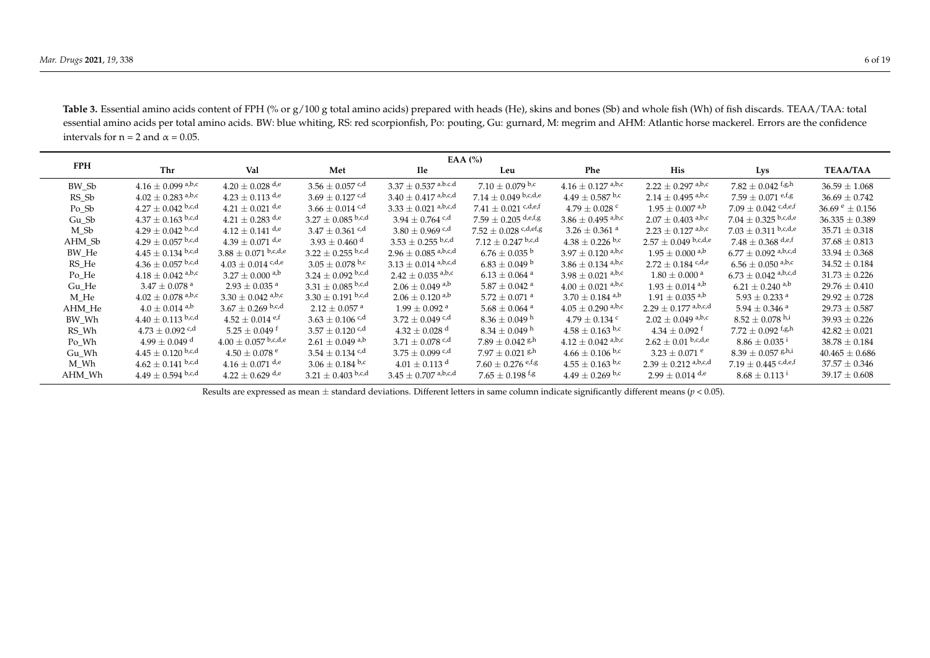| <b>FPH</b> | EAA $(%)$                   |                                   |                                 |                                 |                                     |                                 |                                   |                                             |                             |
|------------|-----------------------------|-----------------------------------|---------------------------------|---------------------------------|-------------------------------------|---------------------------------|-----------------------------------|---------------------------------------------|-----------------------------|
|            | Thr                         | Val                               | Met                             | <b>Ile</b>                      | Leu                                 | Phe                             | His                               | Lys                                         | <b>TEAA/TAA</b>             |
| BW Sb      | $4.16 \pm 0.099$ a,b,c      | $4.20 + 0.028$ d <sub>r</sub> e   | $3.56 + 0.057$ <sup>c,d</sup>   | $3.37 \pm 0.537$ a.b.c.d        | $7.10 + 0.079$ b.c                  | $4.16 + 0.127$ <sup>a,b,c</sup> | $2.22 + 0.297$ <sup>a,b,c</sup>   | $7.82 + 0.042$ f <sub>/s/h</sub>            | $36.59 + 1.068$             |
| RS Sb      | $4.02 \pm 0.283$ a,b,c      | $4.23 \pm 0.113$ d <sub>,e</sub>  | $3.69 + 0.127$ <sup>c,d</sup>   | $3.40 \pm 0.417$ a,b,c,d        | $7.14 \pm 0.049$ <sup>b,c,d,e</sup> | $4.49 \pm 0.587$ b,c            | $2.14 \pm 0.495$ <sup>a,b,c</sup> | $7.59 + 0.071$ e,f,g                        | $36.69 + 0.742$             |
| Po Sb      | $4.27 \pm 0.042$ b,c,d      | $4.21 \pm 0.021$ d <sub>r</sub> e | $3.66 + 0.014$ c,d              | $3.33 \pm 0.021$ a,b,c,d        | 7.41 $\pm$ 0.021 c, d, e, f         | $4.79 + 0.028$ c                | $1.95 + 0.007$ <sup>a,b</sup>     | $7.09 \pm 0.042$ c,d,e,f                    | $36.69^{\text{ e}} + 0.156$ |
| Gu Sb      | $4.37 \pm 0.163$ b,c,d      | $4.21 \pm 0.283$ <sup>d,e</sup>   | $3.27 + 0.085$ b,c,d            | $3.94 + 0.764$ c,d              | $7.59 \pm 0.205$ d,e,f,g            | $3.86 \pm 0.495$ a,b,c          | $2.07 + 0.403$ <sup>a,b,c</sup>   | $7.04 \pm 0.325$ b,c,d,e                    | $36.335 + 0.389$            |
| M Sb       | $4.29 \pm 0.042$ b,c,d      | $4.12 + 0.141$ d <sub>r</sub> e   | $3.47 + 0.361$ c/d              | $3.80 + 0.969$ c,d              | $7.52 \pm 0.028$ c,d,ef,g           | $3.26 \pm 0.361$ <sup>a</sup>   | $2.23 \pm 0.127$ a,b,c            | $7.03 \pm 0.311$ b,c,d,e                    | $35.71 + 0.318$             |
| AHM Sb     | $4.29 \pm 0.057$ b,c,d      | $4.39 \pm 0.071$ <sup>d,e</sup>   | $3.93 + 0.460$ <sup>d</sup>     | $3.53 \pm 0.255$ b,c,d          | $7.12 + 0.247$ b,c,d                | $4.38 \pm 0.226$ b.c            | $2.57 \pm 0.049$ b,c,d,e          | $7.48 \pm 0.368$ d,e,f                      | $37.68 + 0.813$             |
| BW He      | $4.45 \pm 0.134$ b,c,d      | $3.88 \pm 0.071$ b,c,d,e          | $3.22 \pm 0.255$ b,c,d          | $2.96 \pm 0.085$ a,b,c,d        | $6.76 + 0.035^{\mathrm{b}}$         | $3.97 \pm 0.120$ a,b,c          | $1.95 + 0.000$ <sup>a,b</sup>     | $6.77 \pm 0.092$ a,b,c,d                    | $33.94 + 0.368$             |
| RS He      | $4.36 \pm 0.057$ b,c,d      | $4.03 \pm 0.014$ c,d,e            | $3.05 \pm 0.078$ b,c            | $3.13 \pm 0.014$ a,b,c,d        | $6.83 + 0.049$ <sup>b</sup>         | $3.86 \pm 0.134$ a,b,c          | $2.72 \pm 0.184$ c,d,e            | $6.56 \pm 0.050$ a,b,c                      | $34.52 \pm 0.184$           |
| Po He      | $4.18 + 0.042$ a,b,c        | $3.27 + 0.000$ <sup>a,b</sup>     | $3.24 \pm 0.092$ b,c,d          | $2.42 + 0.035$ <sup>a,b,c</sup> | $6.13 + 0.064$ <sup>a</sup>         | $3.98 + 0.021$ a,b,c            | $1.80 + 0.000$ <sup>a</sup>       | $6.73 \pm 0.042$ a,b,c,d                    | $31.73 + 0.226$             |
| Gu He      | $3.47 + 0.078$ <sup>a</sup> | $2.93 + 0.035$ <sup>a</sup>       | $3.31 + 0.085$ b,c,d            | $2.06 + 0.049$ <sup>a,b</sup>   | $5.87 + 0.042$ <sup>a</sup>         | $4.00 + 0.021$ a,b,c            | $1.93 + 0.014$ <sup>a,b</sup>     | $6.21 + 0.240$ <sup>a,b</sup>               | $29.76 + 0.410$             |
| M He       | $4.02 \pm 0.078$ a,b,c      | $3.30 \pm 0.042$ a,b,c            | $3.30 \pm 0.191$ b,c,d          | $2.06 + 0.120$ <sup>a,b</sup>   | $5.72 + 0.071$ <sup>a</sup>         | $3.70 \pm 0.184$ a,b            | $1.91 + 0.035$ <sup>a,b</sup>     | $5.93 + 0.233$ <sup>a</sup>                 | $29.92 + 0.728$             |
| AHM He     | $4.0 \pm 0.014$ a,b         | $3.67 + 0.269$ b,c,d              | $2.12 + 0.057$ <sup>a</sup>     | $1.99 + 0.092$ <sup>a</sup>     | $5.68 \pm 0.064$ <sup>a</sup>       | $4.05 \pm 0.290$ a,b,c          | $2.29 \pm 0.177$ a,b,c,d          | $5.94 + 0.346$ <sup>a</sup>                 | $29.73 \pm 0.587$           |
| BW Wh      | $4.40 \pm 0.113$ b,c,d      | $4.52 + 0.014$ e <sup>t</sup>     | $3.63 + 0.106$ <sup>c,d</sup>   | $3.72 + 0.049$ c,d              | $8.36 \pm 0.049$ h                  | $4.79 + 0.134$ c                | $2.02 \pm 0.049$ a,b,c            | $8.52 + 0.078$ h,i                          | $39.93 + 0.226$             |
| RS Wh      | $4.73 + 0.092$ c,d          | $5.25 + 0.049$ <sup>t</sup>       | $3.57 \pm 0.120$ <sup>c,d</sup> | $4.32 + 0.028$ <sup>d</sup>     | $8.34 + 0.049$ <sup>h</sup>         | $4.58 + 0.163$ b,c              | $4.34 + 0.092$ <sup>t</sup>       | $7.72 \pm 0.092$ f,g,h                      | $42.82 + 0.021$             |
| Po Wh      | $4.99 + 0.049$ d            | $4.00 \pm 0.057$ b,c,d,e          | $2.61 + 0.049$ <sup>a,b</sup>   | $3.71 + 0.078$ c,d              | $7.89 + 0.042$ gh                   | $4.12 + 0.042$ a,b,c            | $2.62 \pm 0.01$ b,c,d,e           | $8.86 + 0.035$ <sup>i</sup>                 | $38.78 + 0.184$             |
| Gu Wh      | $4.45 \pm 0.120$ b,c,d      | $4.50 + 0.078$ <sup>e</sup>       | $3.54 + 0.134$ c,d              | $3.75 + 0.099$ c,d              | $7.97 \pm 0.021$ 8 <sup>h</sup>     | $4.66 + 0.106$ b,c              | $3.23 + 0.071$ e                  | $8.39 \pm 0.057$ g <sub>h<sub>i</sub></sub> | $40.465 + 0.686$            |
| M Wh       | $4.62 \pm 0.141$ b,c,d      | $4.16 \pm 0.071$ <sup>d,e</sup>   | $3.06 \pm 0.184$ b,c            | $4.01 + 0.113$ <sup>d</sup>     | $7.60 \pm 0.276$ e,f,g              | $4.55 \pm 0.163$ b,c            | $2.39 \pm 0.212$ a,b,c,d          | $7.19 \pm 0.445$ c,d,e,f                    | $37.57 \pm 0.346$           |
| AHM Wh     | $4.49 \pm 0.594$ b,c,d      | $4.22 + 0.629$ d <sub>r</sub> e   | $3.21 \pm 0.403$ b,c,d          | $3.45 \pm 0.707$ a,b,c,d        | $7.65 \pm 0.198$ <sup>f,g</sup>     | $4.49 + 0.269$ b,c              | $2.99 + 0.014$ d <sub>r</sub> e   | $8.68 + 0.113$ <sup>i</sup>                 | $39.17 + 0.608$             |

Table 3. Essential amino acids content of FPH (% or g/100 g total amino acids) prepared with heads (He), skins and bones (Sb) and whole fish (Wh) of fish discards. TEAA/TAA: total essential amino acids per total amino acids. BW: blue whiting, RS: red scorpionfish, Po: pouting, Gu: gurnard, M: megrim and AHM: Atlantic horse mackerel. Errors are the confidence intervals for  $n = 2$  and  $\alpha = 0.05$ .

<span id="page-5-0"></span>Results are expressed as mean ± standard deviations. Different letters in same column indicate significantly different means (*p* < 0.05).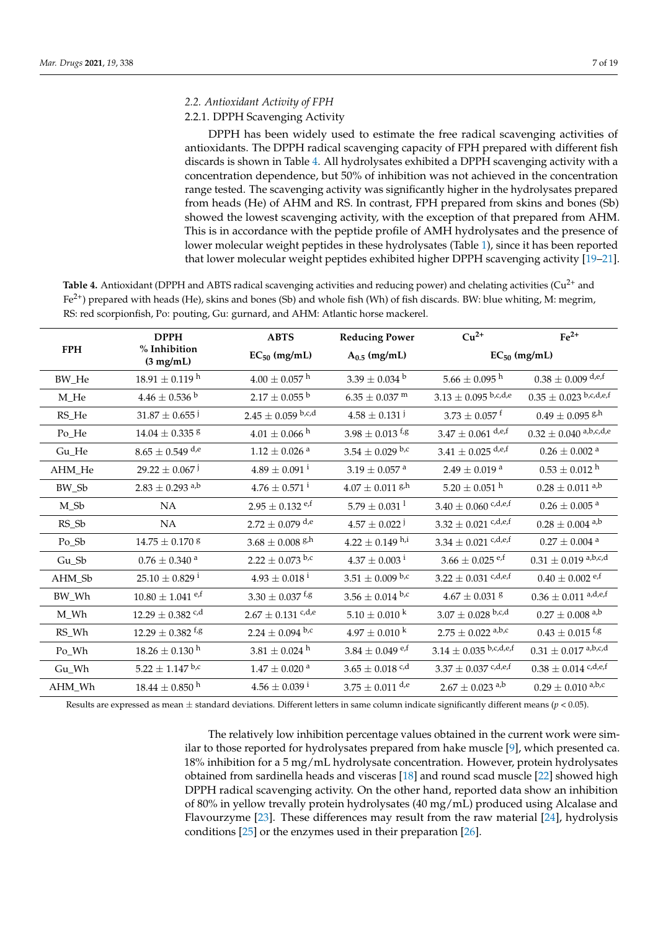#### *2.2. Antioxidant Activity of FPH*

# 2.2.1. DPPH Scavenging Activity

DPPH has been widely used to estimate the free radical scavenging activities of antioxidants. The DPPH radical scavenging capacity of FPH prepared with different fish discards is shown in Table [4.](#page-6-0) All hydrolysates exhibited a DPPH scavenging activity with a concentration dependence, but 50% of inhibition was not achieved in the concentration range tested. The scavenging activity was significantly higher in the hydrolysates prepared from heads (He) of AHM and RS. In contrast, FPH prepared from skins and bones (Sb) showed the lowest scavenging activity, with the exception of that prepared from AHM. This is in accordance with the peptide profile of AMH hydrolysates and the presence of lower molecular weight peptides in these hydrolysates (Table [1\)](#page-3-0), since it has been reported that lower molecular weight peptides exhibited higher DPPH scavenging activity [\[19](#page-16-18)[–21\]](#page-16-19).

<span id="page-6-0"></span>Table 4. Antioxidant (DPPH and ABTS radical scavenging activities and reducing power) and chelating activities (Cu<sup>2+</sup> and  $Fe<sup>2+</sup>$ ) prepared with heads (He), skins and bones (Sb) and whole fish (Wh) of fish discards. BW: blue whiting, M: megrim, RS: red scorpionfish, Po: pouting, Gu: gurnard, and AHM: Atlantic horse mackerel.

|            | <b>DPPH</b>                                 | <b>ABTS</b>                      | <b>Reducing Power</b>            | $Cu2+$                           | $Fe2+$                          |  |
|------------|---------------------------------------------|----------------------------------|----------------------------------|----------------------------------|---------------------------------|--|
| <b>FPH</b> | % Inhibition<br>$(3 \text{ mg/mL})$         | $EC_{50}$ (mg/mL)                | $A_{0.5}$ (mg/mL)                | $EC_{50}$ (mg/mL)                |                                 |  |
| BW_He      | $18.91 \pm 0.119$ <sup>h</sup>              | $4.00 \pm 0.057$ <sup>h</sup>    | $3.39 \pm 0.034$ <sup>b</sup>    | $5.66 \pm 0.095$ <sup>h</sup>    | $0.38 \pm 0.009$ d,e,f          |  |
| M_He       | $4.46 \pm 0.536$ b                          | $2.17 \pm 0.055$ b               | $6.35 \pm 0.037$ m               | $3.13 \pm 0.095$ b,c,d,e         | $0.35 \pm 0.023$ b,c,d,e,f      |  |
| RS_He      | $31.87 \pm 0.655$ <sup>j</sup>              | $2.45 \pm 0.059$ b,c,d           | $4.58 \pm 0.131$ <sup>j</sup>    | $3.73\pm0.057$ f                 | $0.49 \pm 0.095$ g/h            |  |
| Po_He      | $14.04\pm0.335$ $^{\rm g}$                  | $4.01 \pm 0.066$ h               | $3.98 \pm 0.013$ f,g             | $3.47\pm0.061$ $^{\text{d,e,f}}$ | $0.32 \pm 0.040$ a,b,c,d,e      |  |
| Gu_He      | $8.65 \pm 0.549$ d,e                        | $1.12\pm0.026$ $^{\rm a}$        | $3.54 \pm 0.029$ b,c             | $3.41 \pm 0.025$ d,e,f           | $0.26\pm0.002$ $^{\rm a}$       |  |
| AHM_He     | $29.22 \pm 0.067$ <sup>j</sup>              | $4.89 \pm 0.091$ <sup>i</sup>    | $3.19\pm0.057$ $^{\rm a}$        | $2.49\pm0.019$ $^{\rm a}$        | $0.53 \pm 0.012$ <sup>h</sup>   |  |
| BW_Sb      | $2.83 \pm 0.293$ a,b                        | $4.76\pm0.571$ i                 | $4.07 \pm 0.011$ g/h             | $5.20\pm0.051$ $^{\rm h}$        | $0.28\pm0.011$ a,b              |  |
| $M_Sb$     | NA                                          | $2.95 \pm 0.132$ e,f             | $5.79 \pm 0.031^1$               | $3.40 \pm 0.060$ c,d,e,f         | $0.26 \pm 0.005$ <sup>a</sup>   |  |
| RS_Sb      | NA                                          | $2.72 \pm 0.079$ d,e             | $4.57 \pm 0.022$ <sup>j</sup>    | $3.32 \pm 0.021$ c,d,e,f         | $0.28 \pm 0.004$ <sup>a,b</sup> |  |
| Po_Sb      | $14.75 \pm 0.170$ <sup>8</sup>              | $3.68 \pm 0.008$ g/h             | $4.22 \pm 0.149$ h,i             | $3.34 \pm 0.021$ c,d,e,f         | $0.27\pm0.004$ $^{\rm a}$       |  |
| Gu_Sb      | $0.76\pm0.340$ $^{\rm a}$                   | $2.22 \pm 0.073$ b,c             | $4.37 \pm 0.003$ <sup>i</sup>    | $3.66 \pm 0.025$ e,f             | $0.31 \pm 0.019$ a,b,c,d        |  |
| AHM_Sb     | $25.10 \pm 0.829$ <sup>i</sup>              | $4.93 \pm 0.018^{\text{ i}}$     | $3.51\pm0.009$ $^{\mathrm{b,c}}$ | $3.22 \pm 0.031$ c,d,e,f         | $0.40\pm0.002$ <sup>e,f</sup>   |  |
| BW_Wh      | $10.80 \pm 1.041$ e,f                       | $3.30\pm0.037$ $^{\mathrm{f,g}}$ | $3.56 \pm 0.014$ b,c             | $4.67\pm0.031$ $^{\rm g}$        | $0.36 \pm 0.011$ a,d,e,f        |  |
| M_Wh       | $12.29 \pm 0.382$ c,d                       | $2.67 \pm 0.131$ c,d,e           | $5.10 \pm 0.010$ k               | $3.07 \pm 0.028$ b,c,d           | $0.27 \pm 0.008$ <sup>a,b</sup> |  |
| RS_Wh      | $12.29 \pm 0.382$ <sup>f<sub>,g</sub></sup> | $2.24 \pm 0.094$ b,c             | $4.97 \pm 0.010^{\mathrm{k}}$    | $2.75 \pm 0.022$ a,b,c           | $0.43 \pm 0.015$ f,g            |  |
| Po_Wh      | $18.26 \pm 0.130$ <sup>h</sup>              | $3.81 \pm 0.024$ <sup>h</sup>    | $3.84 \pm 0.049$ e,f             | $3.14 \pm 0.035$ b,c,d,e,f       | $0.31 \pm 0.017$ a,b,c,d        |  |
| Gu_Wh      | $5.22 \pm 1.147$ b,c                        | $1.47\pm0.020$ $^{\rm a}$        | $3.65 \pm 0.018$ c,d             | $3.37 \pm 0.037$ c,d,e,f         | $0.38 \pm 0.014$ c,d,e,f        |  |
| AHM_Wh     | $18.44 \pm 0.850$ <sup>h</sup>              | $4.56 \pm 0.039$ <sup>i</sup>    | $3.75 \pm 0.011$ d,e             | $2.67 \pm 0.023$ a,b             | $0.29 \pm 0.010$ a,b,c          |  |

Results are expressed as mean  $\pm$  standard deviations. Different letters in same column indicate significantly different means ( $p$  < 0.05).

The relatively low inhibition percentage values obtained in the current work were similar to those reported for hydrolysates prepared from hake muscle [\[9\]](#page-16-8), which presented ca. 18% inhibition for a 5 mg/mL hydrolysate concentration. However, protein hydrolysates obtained from sardinella heads and visceras [\[18\]](#page-16-17) and round scad muscle [\[22\]](#page-16-20) showed high DPPH radical scavenging activity. On the other hand, reported data show an inhibition of 80% in yellow trevally protein hydrolysates (40 mg/mL) produced using Alcalase and Flavourzyme [\[23\]](#page-16-21). These differences may result from the raw material [\[24\]](#page-16-22), hydrolysis conditions [\[25\]](#page-16-23) or the enzymes used in their preparation [\[26\]](#page-16-24).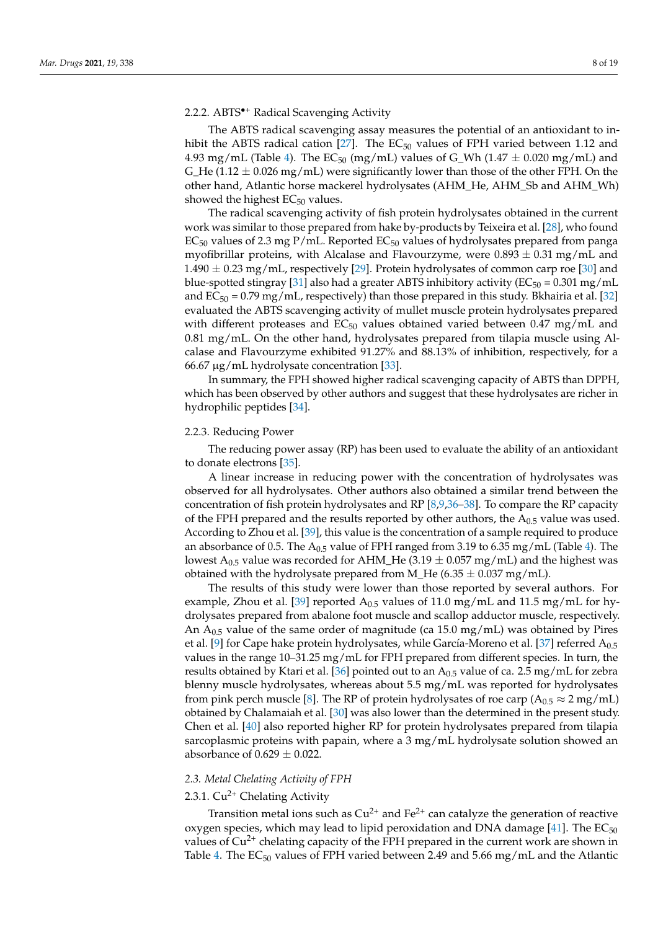# 2.2.2. ABTS•<sup>+</sup> Radical Scavenging Activity

The ABTS radical scavenging assay measures the potential of an antioxidant to in-hibit the ABTS radical cation [\[27\]](#page-17-0). The  $EC_{50}$  values of FPH varied between 1.12 and 4.93 mg/mL (Table [4\)](#page-6-0). The  $EC_{50}$  (mg/mL) values of G\_Wh (1.47  $\pm$  0.020 mg/mL) and G\_He (1.12  $\pm$  0.026 mg/mL) were significantly lower than those of the other FPH. On the other hand, Atlantic horse mackerel hydrolysates (AHM\_He, AHM\_Sb and AHM\_Wh) showed the highest  $EC_{50}$  values.

The radical scavenging activity of fish protein hydrolysates obtained in the current work was similar to those prepared from hake by-products by Teixeira et al. [\[28\]](#page-17-1), who found  $EC_{50}$  values of 2.3 mg P/mL. Reported  $EC_{50}$  values of hydrolysates prepared from panga myofibrillar proteins, with Alcalase and Flavourzyme, were  $0.893 \pm 0.31$  mg/mL and  $1.490 \pm 0.23$  mg/mL, respectively [\[29\]](#page-17-2). Protein hydrolysates of common carp roe [\[30\]](#page-17-3) and blue-spotted stingray [\[31\]](#page-17-4) also had a greater ABTS inhibitory activity ( $EC_{50} = 0.301$  mg/mL and  $EC_{50} = 0.79$  mg/mL, respectively) than those prepared in this study. Bkhairia et al. [\[32\]](#page-17-5) evaluated the ABTS scavenging activity of mullet muscle protein hydrolysates prepared with different proteases and  $EC_{50}$  values obtained varied between 0.47 mg/mL and 0.81 mg/mL. On the other hand, hydrolysates prepared from tilapia muscle using Alcalase and Flavourzyme exhibited 91.27% and 88.13% of inhibition, respectively, for a 66.67 µg/mL hydrolysate concentration [\[33\]](#page-17-6).

In summary, the FPH showed higher radical scavenging capacity of ABTS than DPPH, which has been observed by other authors and suggest that these hydrolysates are richer in hydrophilic peptides [\[34\]](#page-17-7).

#### 2.2.3. Reducing Power

The reducing power assay (RP) has been used to evaluate the ability of an antioxidant to donate electrons [\[35\]](#page-17-8).

A linear increase in reducing power with the concentration of hydrolysates was observed for all hydrolysates. Other authors also obtained a similar trend between the concentration of fish protein hydrolysates and RP [\[8](#page-16-7)[,9](#page-16-8)[,36–](#page-17-9)[38\]](#page-17-10). To compare the RP capacity of the FPH prepared and the results reported by other authors, the  $A_{0.5}$  value was used. According to Zhou et al. [\[39\]](#page-17-11), this value is the concentration of a sample required to produce an absorbance of 0.5. The  $A_{0.5}$  value of FPH ranged from 3.19 to 6.35 mg/mL (Table [4\)](#page-6-0). The lowest A<sub>0.5</sub> value was recorded for AHM\_He (3.19  $\pm$  0.057 mg/mL) and the highest was obtained with the hydrolysate prepared from M\_He  $(6.35 \pm 0.037 \text{ mg/mL})$ .

The results of this study were lower than those reported by several authors. For example, Zhou et al. [\[39\]](#page-17-11) reported  $A_{0.5}$  values of 11.0 mg/mL and 11.5 mg/mL for hydrolysates prepared from abalone foot muscle and scallop adductor muscle, respectively. An  $A_{0.5}$  value of the same order of magnitude (ca 15.0 mg/mL) was obtained by Pires et al. [\[9\]](#page-16-8) for Cape hake protein hydrolysates, while García-Moreno et al. [\[37\]](#page-17-12) referred A<sub>0.5</sub> values in the range 10–31.25 mg/mL for FPH prepared from different species. In turn, the results obtained by Ktari et al. [\[36\]](#page-17-9) pointed out to an  $A_{0.5}$  value of ca. 2.5 mg/mL for zebra blenny muscle hydrolysates, whereas about 5.5 mg/mL was reported for hydrolysates from pink perch muscle [\[8\]](#page-16-7). The RP of protein hydrolysates of roe carp ( $A_{0.5} \approx 2$  mg/mL) obtained by Chalamaiah et al. [\[30\]](#page-17-3) was also lower than the determined in the present study. Chen et al. [\[40\]](#page-17-13) also reported higher RP for protein hydrolysates prepared from tilapia sarcoplasmic proteins with papain, where a 3 mg/mL hydrolysate solution showed an absorbance of  $0.629 \pm 0.022$ .

# *2.3. Metal Chelating Activity of FPH*

# 2.3.1.  $Cu^{2+}$  Chelating Activity

Transition metal ions such as  $Cu^{2+}$  and  $Fe^{2+}$  can catalyze the generation of reactive oxygen species, which may lead to lipid peroxidation and DNA damage [\[41\]](#page-17-14). The  $EC_{50}$ values of  $Cu^{2+}$  chelating capacity of the FPH prepared in the current work are shown in Table [4.](#page-6-0) The  $EC_{50}$  values of FPH varied between 2.49 and 5.66 mg/mL and the Atlantic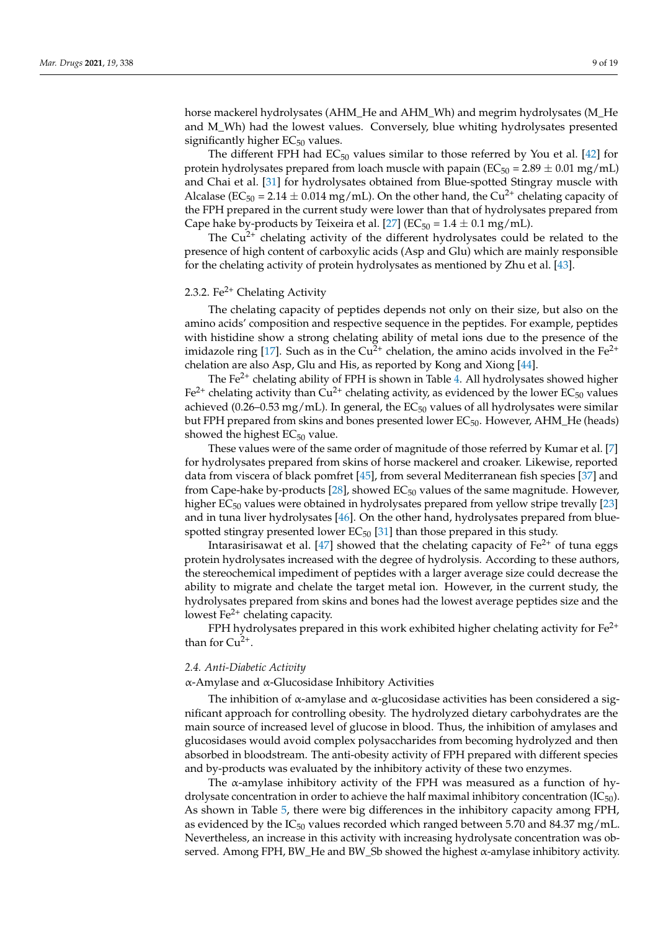horse mackerel hydrolysates (AHM\_He and AHM\_Wh) and megrim hydrolysates (M\_He and M\_Wh) had the lowest values. Conversely, blue whiting hydrolysates presented significantly higher  $EC_{50}$  values.

The different FPH had  $EC_{50}$  values similar to those referred by You et al. [\[42\]](#page-17-15) for protein hydrolysates prepared from loach muscle with papain ( $EC_{50} = 2.89 \pm 0.01$  mg/mL) and Chai et al. [\[31\]](#page-17-4) for hydrolysates obtained from Blue-spotted Stingray muscle with Alcalase ( $EC_{50}$  = 2.14  $\pm$  0.014 mg/mL). On the other hand, the Cu<sup>2+</sup> chelating capacity of the FPH prepared in the current study were lower than that of hydrolysates prepared from Cape hake by-products by Teixeira et al. [\[27\]](#page-17-0) ( $EC_{50} = 1.4 \pm 0.1$  mg/mL).

The  $Cu^{2+}$  chelating activity of the different hydrolysates could be related to the presence of high content of carboxylic acids (Asp and Glu) which are mainly responsible for the chelating activity of protein hydrolysates as mentioned by Zhu et al. [\[43\]](#page-17-16).

# 2.3.2. Fe<sup>2+</sup> Chelating Activity

The chelating capacity of peptides depends not only on their size, but also on the amino acids' composition and respective sequence in the peptides. For example, peptides with histidine show a strong chelating ability of metal ions due to the presence of the imidazole ring [\[17\]](#page-16-16). Such as in the  $Cu^{2+}$  chelation, the amino acids involved in the Fe<sup>2+</sup> chelation are also Asp, Glu and His, as reported by Kong and Xiong [\[44\]](#page-17-17).

The Fe<sup>2+</sup> chelating ability of FPH is shown in Table [4.](#page-6-0) All hydrolysates showed higher  $Fe<sup>2+</sup>$  chelating activity than Cu<sup>2+</sup> chelating activity, as evidenced by the lower EC<sub>50</sub> values achieved (0.26–0.53 mg/mL). In general, the  $EC_{50}$  values of all hydrolysates were similar but FPH prepared from skins and bones presented lower  $EC_{50}$ . However, AHM\_He (heads) showed the highest  $EC_{50}$  value.

These values were of the same order of magnitude of those referred by Kumar et al. [\[7\]](#page-16-6) for hydrolysates prepared from skins of horse mackerel and croaker. Likewise, reported data from viscera of black pomfret [\[45\]](#page-17-18), from several Mediterranean fish species [\[37\]](#page-17-12) and from Cape-hake by-products [ $28$ ], showed EC<sub>50</sub> values of the same magnitude. However, higher EC<sub>50</sub> values were obtained in hydrolysates prepared from yellow stripe trevally [\[23\]](#page-16-21) and in tuna liver hydrolysates [\[46\]](#page-17-19). On the other hand, hydrolysates prepared from bluespotted stingray presented lower  $EC_{50}$  [\[31\]](#page-17-4) than those prepared in this study.

Intarasirisawat et al. [\[47\]](#page-17-20) showed that the chelating capacity of  $Fe^{2+}$  of tuna eggs protein hydrolysates increased with the degree of hydrolysis. According to these authors, the stereochemical impediment of peptides with a larger average size could decrease the ability to migrate and chelate the target metal ion. However, in the current study, the hydrolysates prepared from skins and bones had the lowest average peptides size and the lowest  $Fe<sup>2+</sup>$  chelating capacity.

FPH hydrolysates prepared in this work exhibited higher chelating activity for  $Fe^{2+}$ than for  $Cu^{2+}$ .

#### *2.4. Anti-Diabetic Activity*

α-Amylase and α-Glucosidase Inhibitory Activities

The inhibition of  $\alpha$ -amylase and  $\alpha$ -glucosidase activities has been considered a significant approach for controlling obesity. The hydrolyzed dietary carbohydrates are the main source of increased level of glucose in blood. Thus, the inhibition of amylases and glucosidases would avoid complex polysaccharides from becoming hydrolyzed and then absorbed in bloodstream. The anti-obesity activity of FPH prepared with different species and by-products was evaluated by the inhibitory activity of these two enzymes.

The  $\alpha$ -amylase inhibitory activity of the FPH was measured as a function of hydrolysate concentration in order to achieve the half maximal inhibitory concentration  $(IC_{50})$ . As shown in Table [5,](#page-9-0) there were big differences in the inhibitory capacity among FPH, as evidenced by the  $IC_{50}$  values recorded which ranged between 5.70 and 84.37 mg/mL. Nevertheless, an increase in this activity with increasing hydrolysate concentration was observed. Among FPH, BW\_He and BW\_Sb showed the highest α-amylase inhibitory activity.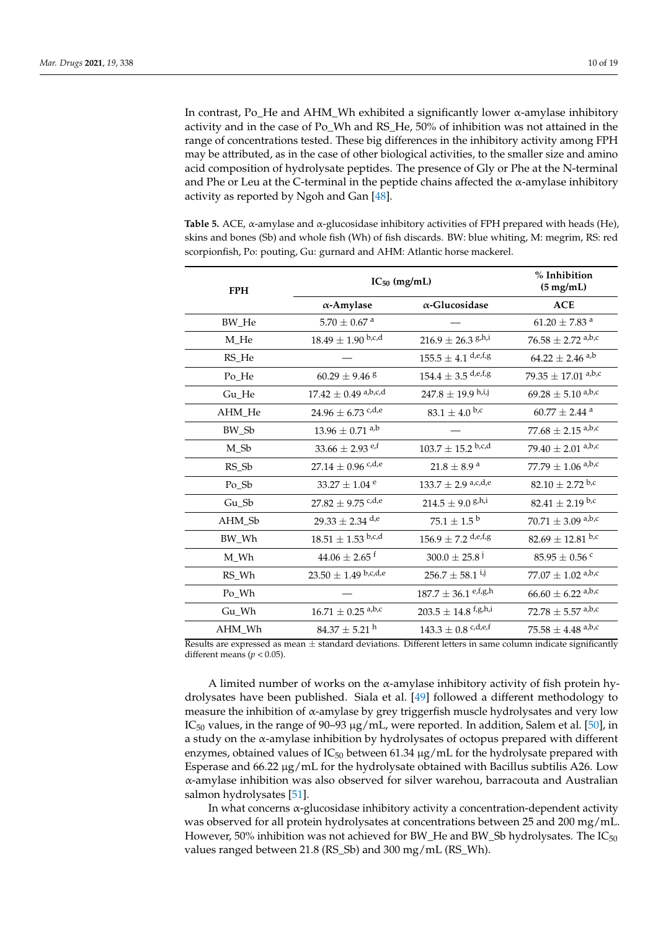In contrast, Po\_He and AHM\_Wh exhibited a significantly lower α-amylase inhibitory activity and in the case of Po\_Wh and RS\_He, 50% of inhibition was not attained in the range of concentrations tested. These big differences in the inhibitory activity among FPH may be attributed, as in the case of other biological activities, to the smaller size and amino acid composition of hydrolysate peptides. The presence of Gly or Phe at the N-terminal and Phe or Leu at the C-terminal in the peptide chains affected the α-amylase inhibitory activity as reported by Ngoh and Gan [\[48\]](#page-17-21).

<span id="page-9-0"></span>**Table 5.** ACE, α-amylase and α-glucosidase inhibitory activities of FPH prepared with heads (He), skins and bones (Sb) and whole fish (Wh) of fish discards. BW: blue whiting, M: megrim, RS: red scorpionfish, Po: pouting, Gu: gurnard and AHM: Atlantic horse mackerel.

| <b>FPH</b> | $IC_{50}$ (mg/mL)                  | % Inhibition<br>$(5 \text{ mg/mL})$ |                                   |
|------------|------------------------------------|-------------------------------------|-----------------------------------|
|            | $\alpha$ -Amylase                  | $\alpha$ -Glucosidase               | <b>ACE</b>                        |
| BW_He      | $5.70 \pm 0.67$ <sup>a</sup>       |                                     | $61.20\pm7.83$ $^{\rm a}$         |
| M_He       | $18.49 \pm 1.90$ b,c,d             | $216.9 \pm 26.3$ g,h,i              | $76.58 \pm 2.72$ a,b,c            |
| RS He      |                                    | $155.5 \pm 4.1$ d,e,f,g             | $64.22\pm2.46$ a,b                |
| Po_He      | $60.29 \pm 9.46$ 8                 | $154.4 \pm 3.5$ d,e,f,g             | $79.35 \pm 17.01$ a,b,c           |
| Gu_He      | $17.42 \pm 0.49$ a,b,c,d           | $247.8 \pm 19.9$ h,i,j              | $69.28 \pm 5.10$ a,b,c            |
| AHM_He     | $24.96\pm6.73$ $^{\mathrm{c,d,e}}$ | $83.1 \pm 4.0$ b,c                  | $60.77$ $\pm$ 2.44 $^{\rm a}$     |
| BW_Sb      | $13.96 \pm 0.71$ <sup>a,b</sup>    |                                     | $77.68 \pm 2.15$ a,b,c            |
| M_Sb       | $33.66 \pm 2.93$ e,f               | $103.7 \pm 15.2$ b,c,d              | 79.40 $\pm$ 2.01 a,b,c            |
| RS Sb      | $27.14 \pm 0.96$ <sup>c,d,e</sup>  | $21.8 \pm 8.9^{\text{ a}}$          | $77.79 \pm 1.06$ a,b,c            |
| Po_Sb      | 33.27 $\pm$ 1.04 <sup>e</sup>      | $133.7 \pm 2.9$ a,c,d,e             | $82.10 \pm 2.72$ b,c              |
| $Gu$ Sb    | $27.82 \pm 9.75$ c,d,e             | $214.5 \pm 9.0$ g,h,i               | $82.41 \pm 2.19$ b,c              |
| AHM_Sb     | $29.33\pm2.34$ $^{\rm d,e}$        | $75.1\pm1.5^{\text{ b}}$            | $70.71 \pm 3.09$ a,b,c            |
| BW_Wh      | $18.51 \pm 1.53$ b,c,d             | $156.9 \pm 7.2$ d,e,f,g             | $82.69 \pm 12.81$ b,c             |
| M_Wh       | $44.06 \pm 2.65$ <sup>f</sup>      | $300.0 \pm 25.8$ <sup>j</sup>       | $85.95\pm0.56$ $^{\rm c}$         |
| RS_Wh      | $23.50 \pm 1.49$ b,c,d,e           | $256.7 \pm 58.1$ <sup>i,j</sup>     | 77.07 $\pm$ 1.02 a,b,c            |
| Po Wh      |                                    | $187.7 \pm 36.1$ e,f,g,h            | $66.60 \pm 6.22$ <sup>a,b,c</sup> |
| Gu_Wh      | $16.71 \pm 0.25$ a,b,c             | $203.5 \pm 14.8$ f,g,h,i            | $72.78 \pm 5.57$ a,b,c            |
| AHM_Wh     | $84.37 \pm 5.21$ <sup>h</sup>      | $143.3 \pm 0.8$ c,d,e,f             | $75.58 \pm 4.48$ <sup>a,b,c</sup> |

Results are expressed as mean  $\pm$  standard deviations. Different letters in same column indicate significantly different means ( $p < 0.05$ ).

A limited number of works on the α-amylase inhibitory activity of fish protein hydrolysates have been published. Siala et al. [\[49\]](#page-17-22) followed a different methodology to measure the inhibition of  $\alpha$ -amylase by grey triggerfish muscle hydrolysates and very low IC<sub>50</sub> values, in the range of 90–93  $\mu$ g/mL, were reported. In addition, Salem et al. [\[50\]](#page-17-23), in a study on the α-amylase inhibition by hydrolysates of octopus prepared with different enzymes, obtained values of  $IC_{50}$  between 61.34  $\mu$ g/mL for the hydrolysate prepared with Esperase and  $66.22 \mu g/mL$  for the hydrolysate obtained with Bacillus subtilis A26. Low α-amylase inhibition was also observed for silver warehou, barracouta and Australian salmon hydrolysates [\[51\]](#page-17-24).

In what concerns  $\alpha$ -glucosidase inhibitory activity a concentration-dependent activity was observed for all protein hydrolysates at concentrations between 25 and 200 mg/mL. However, 50% inhibition was not achieved for BW\_He and BW\_Sb hydrolysates. The  $IC_{50}$ values ranged between 21.8 (RS\_Sb) and 300 mg/mL (RS\_Wh).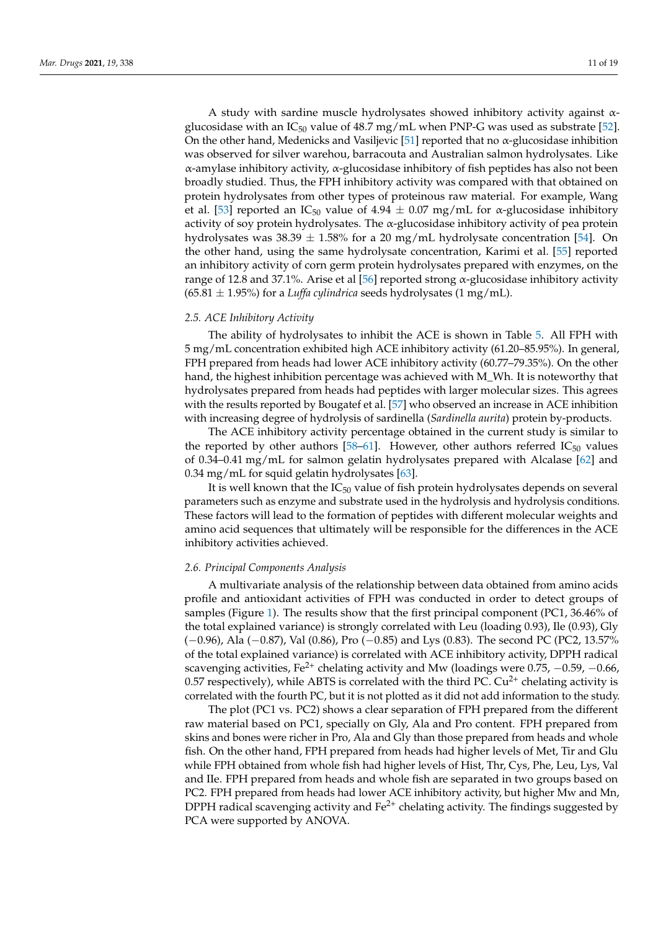A study with sardine muscle hydrolysates showed inhibitory activity against αglucosidase with an  $IC_{50}$  value of 48.7 mg/mL when PNP-G was used as substrate [\[52\]](#page-17-25). On the other hand, Medenicks and Vasiljevic [\[51\]](#page-17-24) reported that no  $\alpha$ -glucosidase inhibition was observed for silver warehou, barracouta and Australian salmon hydrolysates. Like α-amylase inhibitory activity, α-glucosidase inhibitory of fish peptides has also not been broadly studied. Thus, the FPH inhibitory activity was compared with that obtained on protein hydrolysates from other types of proteinous raw material. For example, Wang et al. [\[53\]](#page-18-0) reported an IC<sub>50</sub> value of 4.94  $\pm$  0.07 mg/mL for α-glucosidase inhibitory activity of soy protein hydrolysates. The α-glucosidase inhibitory activity of pea protein hydrolysates was  $38.39 \pm 1.58\%$  for a 20 mg/mL hydrolysate concentration [\[54\]](#page-18-1). On the other hand, using the same hydrolysate concentration, Karimi et al. [\[55\]](#page-18-2) reported an inhibitory activity of corn germ protein hydrolysates prepared with enzymes, on the range of 12.8 and 37.1%. Arise et al [\[56\]](#page-18-3) reported strong  $\alpha$ -glucosidase inhibitory activity  $(65.81 \pm 1.95%)$  for a *Luffa cylindrica* seeds hydrolysates  $(1 \text{ mg/mL})$ .

#### *2.5. ACE Inhibitory Activity*

The ability of hydrolysates to inhibit the ACE is shown in Table [5.](#page-9-0) All FPH with 5 mg/mL concentration exhibited high ACE inhibitory activity (61.20–85.95%). In general, FPH prepared from heads had lower ACE inhibitory activity (60.77–79.35%). On the other hand, the highest inhibition percentage was achieved with M\_Wh. It is noteworthy that hydrolysates prepared from heads had peptides with larger molecular sizes. This agrees with the results reported by Bougatef et al. [\[57\]](#page-18-4) who observed an increase in ACE inhibition with increasing degree of hydrolysis of sardinella (*Sardinella aurita*) protein by-products.

The ACE inhibitory activity percentage obtained in the current study is similar to the reported by other authors [\[58–](#page-18-5)[61\]](#page-18-6). However, other authors referred  $IC_{50}$  values of 0.34–0.41 mg/mL for salmon gelatin hydrolysates prepared with Alcalase [\[62\]](#page-18-7) and 0.34 mg/mL for squid gelatin hydrolysates [\[63\]](#page-18-8).

It is well known that the  $IC_{50}$  value of fish protein hydrolysates depends on several parameters such as enzyme and substrate used in the hydrolysis and hydrolysis conditions. These factors will lead to the formation of peptides with different molecular weights and amino acid sequences that ultimately will be responsible for the differences in the ACE inhibitory activities achieved.

#### *2.6. Principal Components Analysis*

A multivariate analysis of the relationship between data obtained from amino acids profile and antioxidant activities of FPH was conducted in order to detect groups of samples (Figure [1\)](#page-11-0). The results show that the first principal component (PC1, 36.46% of the total explained variance) is strongly correlated with Leu (loading 0.93), Ile (0.93), Gly (−0.96), Ala (−0.87), Val (0.86), Pro (−0.85) and Lys (0.83). The second PC (PC2, 13.57% of the total explained variance) is correlated with ACE inhibitory activity, DPPH radical scavenging activities, Fe<sup>2+</sup> chelating activity and Mw (loadings were  $0.75$ ,  $-0.59$ ,  $-0.66$ , 0.57 respectively), while ABTS is correlated with the third PC.  $Cu^{2+}$  chelating activity is correlated with the fourth PC, but it is not plotted as it did not add information to the study.

The plot (PC1 vs. PC2) shows a clear separation of FPH prepared from the different raw material based on PC1, specially on Gly, Ala and Pro content. FPH prepared from skins and bones were richer in Pro, Ala and Gly than those prepared from heads and whole fish. On the other hand, FPH prepared from heads had higher levels of Met, Tir and Glu while FPH obtained from whole fish had higher levels of Hist, Thr, Cys, Phe, Leu, Lys, Val and IIe. FPH prepared from heads and whole fish are separated in two groups based on PC2. FPH prepared from heads had lower ACE inhibitory activity, but higher Mw and Mn, DPPH radical scavenging activity and  $Fe<sup>2+</sup>$  chelating activity. The findings suggested by PCA were supported by ANOVA.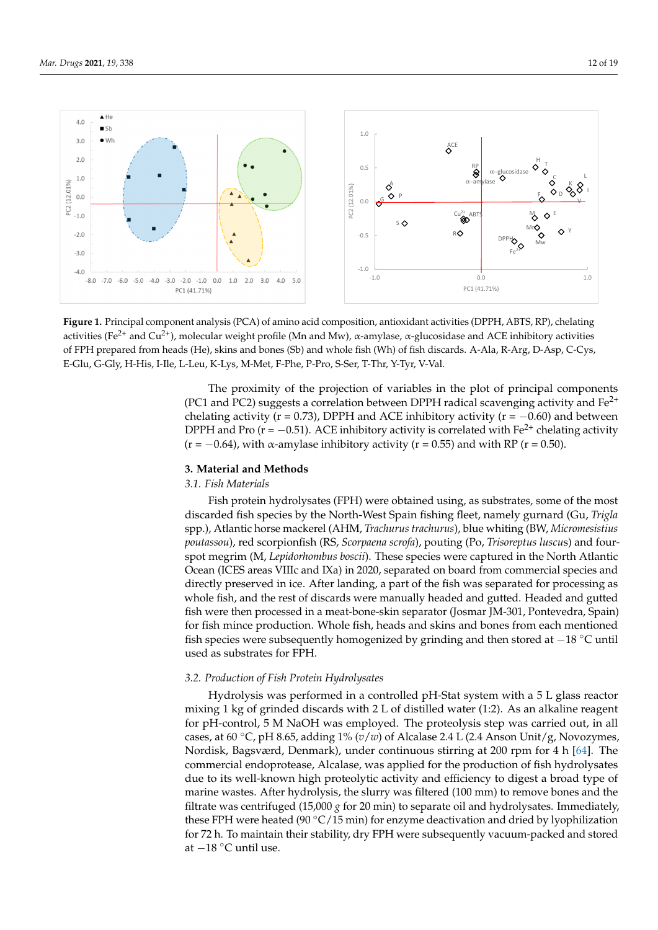<span id="page-11-0"></span>

activities (Fe<sup>2+</sup> and Cu<sup>2+</sup>), molecular weight profile (Mn and Mw),  $\alpha$ -amylase,  $\alpha$ -glucosidase and ACE inhibitory activities of FPH prepared from heads (He), skins and bones (Sb) and whole fish (Wh) of fish discards. A-Ala, R-Arg, D-Asp, C-Cys, E-Glu, G-Gly, H-His, I-Ile, L-Leu, K-Lys, M-Met, F-Phe, P-Pro, S-Ser, T-Thr, Y-Tyr, V-Val. Asp, C-Cys, E-Glu, G-Gly, H-His, I-Ile, L-Leu, K-Lys, M-Met, F-Phe, P-Pro, S-Ser, T-Thr, Y-Tyr, V-Val **Figure 1.** Principal component analysis (PCA) of amino acid composition, antioxidant activities (DPPH, ABTS, RP), chelating

(PC1 and PC2) suggests a correlation between DPPH radical scavenging activity and Fe<sup>2+</sup> chelating activity (r = 0.73), DPPH and ACE inhibitory activity (r =  $-0.60$ ) and between DPPH and Pro (r = -0.51). ACE inhibitory activity is correlated with Fe<sup>2+</sup> chelating activity  $(r = -0.64)$ , with α-amylase inhibitory activity (r = 0.55) and with RP (r = 0.50). The proximity of the projection of variables in the plot of principal components

# **3. Material and Methods are separated in the separated in the separated in the separated in the separated in the separated in the separated in the separated in the separated in the separated in the separated in the separa**

# **3.1. Fish Materials** *acceleration* $\mathbf{A}^T \mathbf{A}$  **in the material of the set of the materials <b>***acceleration acceleration acceleration* **<b>***acceleration acceleration acceleration* **<b>***acceleration acc*

Fish protein hydrolysates (FPH) were obtained using, as substrates, some of the most discarded fish species by the North-West Spain fishing fleet, namely gurnard (Gu, *Trigla* spp.), Atlantic horse mackerel (AHM, *Trachurus trachurus*), blue whiting (BW, *Micromesistius* poutassou), red scorpionfish (RS, *Scorpaena scrofa*), pouting (Po, *Trisoreptus luscus*) and fourspot megrim (M, Lepidorhombus boscii). These species were captured in the North Atlantic Ocean (ICES areas VIIIc and IXa) in 2020, separated on board from commercial species and directly preserved in ice. After landing, a part of the fish was separated for processing as fish were then processed in a meat-bone-skin separator (Josmar JM-301, Pontevedra, Spain) for fish mince production. Whole fish, heads and skins and bones from each mentioned fish species were subsequently homogenized by grinding and then stored at  $-18$  °C until  $\frac{d}{dx}$  as substrated for  $\frac{1}{1+\frac{1}{1+\frac{1}{1+\frac{1}{1+\frac{1}{1+\frac{1}{1+\frac{1}{1+\frac{1}{1+\frac{1}{1+\frac{1}{1+\frac{1}{1+\frac{1}{1+\frac{1}{1+\frac{1}{1+\frac{1}{1+\frac{1}{1+\frac{1}{1+\frac{1}{1+\frac{1}{1+\frac{1}{1+\frac{1}{1+\frac{1}{1+\frac{1}{1+\frac{1}{1+\frac{1}{1+\frac{1}{1+\frac{1}{1+\frac{1}{1+\frac{1}{1+\frac{1}{1+\frac{1}{1+\frac{1}{1$ whole fish, and the rest of discards were manually headed and gutted. Headed and gutted used as substrates for FPH.

# spp.), Atlantic horse mackerel (AHM, Trachurus trachurus), blue whiting (BW, Mi-*3.2. Production of Fish Protein Hydrolysates*

Hydrolysis was performed in a controlled pH-Stat system with a 5 L glass reactor mixing 1 kg of grinded discards with 2 L of distilled water (1:2). As an alkaline reagent north at the North Atlantic Ocean (ICES) in 2020, the and IXan IXan IXa) in 2020, separated out, in all for pH-control, 5 M NaOH was employed. The proteolysis step was carried out, in all commercial species and directly preserved in the fish was part of the fish was part of the fish was cases, at 60 ℃, pH 8.65, adding 1% (*v*/*w*) of Alcalase 2.4 L (2.4 Anson Unit/g, Novozymes, Nordisk, Bagsværd, Denmark), under continuous stirring at 200 rpm for 4 h [\[64\]](#page-18-9). The commercial endoprotease, Alcalase, was applied for the production of fish hydrolysates due to its well-known high proteolytic activity and efficiency to digest a broad type of marine wastes. After hydrolysis, the slurry was filtered (100 mm) to remove bones and the filtrate was centrifuged (15,000 *g* for 20 min) to separate oil and hydrolysates. Immediately, *3.2. Production of Fish Protein Hydrolysates*  for 72 h. To maintain their stability, dry FPH were subsequently vacuum-packed and stored at −18 °C until use. these FPH were heated (90  $\degree$ C/15 min) for enzyme deactivation and dried by lyophilization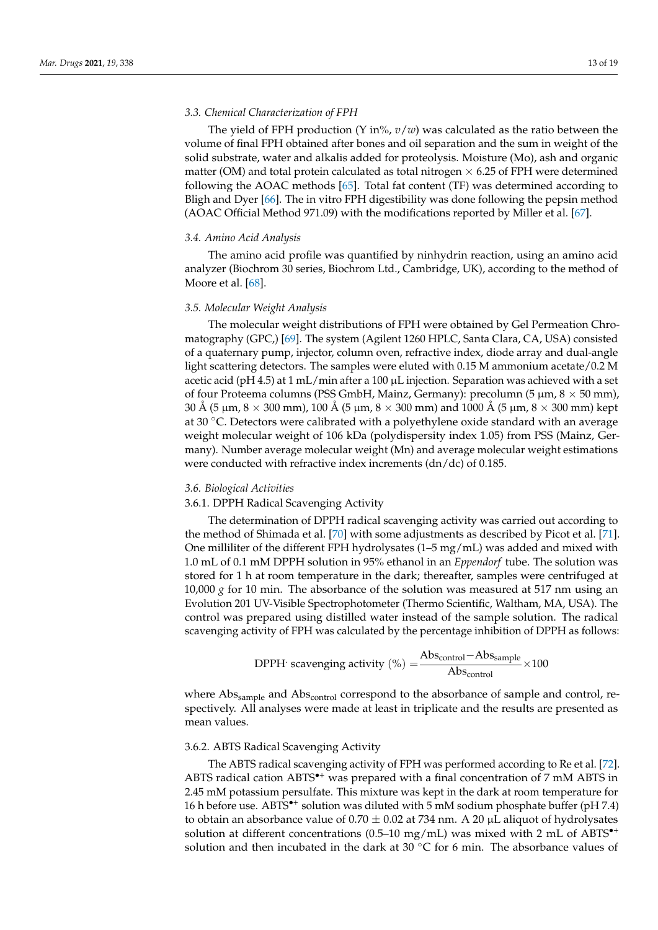## *3.3. Chemical Characterization of FPH*

The yield of FPH production  $(Y \in \mathbb{R}^n, v/w)$  was calculated as the ratio between the volume of final FPH obtained after bones and oil separation and the sum in weight of the solid substrate, water and alkalis added for proteolysis. Moisture (Mo), ash and organic matter (OM) and total protein calculated as total nitrogen  $\times$  6.25 of FPH were determined following the AOAC methods [\[65\]](#page-18-10). Total fat content (TF) was determined according to Bligh and Dyer [\[66\]](#page-18-11). The in vitro FPH digestibility was done following the pepsin method (AOAC Official Method 971.09) with the modifications reported by Miller et al. [\[67\]](#page-18-12).

#### *3.4. Amino Acid Analysis*

The amino acid profile was quantified by ninhydrin reaction, using an amino acid analyzer (Biochrom 30 series, Biochrom Ltd., Cambridge, UK), according to the method of Moore et al. [\[68\]](#page-18-13).

## *3.5. Molecular Weight Analysis*

The molecular weight distributions of FPH were obtained by Gel Permeation Chromatography (GPC,) [\[69\]](#page-18-14). The system (Agilent 1260 HPLC, Santa Clara, CA, USA) consisted of a quaternary pump, injector, column oven, refractive index, diode array and dual-angle light scattering detectors. The samples were eluted with 0.15 M ammonium acetate/0.2 M acetic acid (pH 4.5) at 1 mL/min after a 100  $\mu$ L injection. Separation was achieved with a set of four Proteema columns (PSS GmbH, Mainz, Germany): precolumn (5 µm,  $8 \times 50$  mm), 30 Å (5  $\mu$ m, 8  $\times$  300 mm), 100 Å (5  $\mu$ m, 8  $\times$  300 mm) and 1000 Å (5  $\mu$ m, 8  $\times$  300 mm) kept at 30 ◦C. Detectors were calibrated with a polyethylene oxide standard with an average weight molecular weight of 106 kDa (polydispersity index 1.05) from PSS (Mainz, Germany). Number average molecular weight (Mn) and average molecular weight estimations were conducted with refractive index increments (dn/dc) of 0.185.

#### *3.6. Biological Activities*

# 3.6.1. DPPH Radical Scavenging Activity

The determination of DPPH radical scavenging activity was carried out according to the method of Shimada et al. [\[70\]](#page-18-15) with some adjustments as described by Picot et al. [\[71\]](#page-18-16). One milliliter of the different FPH hydrolysates  $(1-5 \text{ mg/mL})$  was added and mixed with 1.0 mL of 0.1 mM DPPH solution in 95% ethanol in an *Eppendorf* tube. The solution was stored for 1 h at room temperature in the dark; thereafter, samples were centrifuged at 10,000  $\chi$  for 10 min. The absorbance of the solution was measured at 517 nm using an Evolution 201 UV-Visible Spectrophotometer (Thermo Scientific, Waltham, MA, USA). The control was prepared using distilled water instead of the sample solution. The radical scavenging activity of FPH was calculated by the percentage inhibition of DPPH as follows:

$$
DPPH' \text{ scavenging activity } (\%) = \frac{Abs_{control} - Abs_{sample}}{Abs_{control}} \times 100
$$

where Abs<sub>sample</sub> and Abs<sub>control</sub> correspond to the absorbance of sample and control, respectively. All analyses were made at least in triplicate and the results are presented as mean values.

#### 3.6.2. ABTS Radical Scavenging Activity

The ABTS radical scavenging activity of FPH was performed according to Re et al. [\[72\]](#page-18-17). ABTS radical cation ABTS<sup>\*+</sup> was prepared with a final concentration of 7 mM ABTS in 2.45 mM potassium persulfate. This mixture was kept in the dark at room temperature for 16 h before use. ABTS<sup>\*+</sup> solution was diluted with 5 mM sodium phosphate buffer (pH 7.4) to obtain an absorbance value of  $0.70 \pm 0.02$  at 734 nm. A 20 µL aliquot of hydrolysates solution at different concentrations (0.5–10 mg/mL) was mixed with 2 mL of ABTS<sup> $\bullet$ +</sup> solution and then incubated in the dark at 30 °C for 6 min. The absorbance values of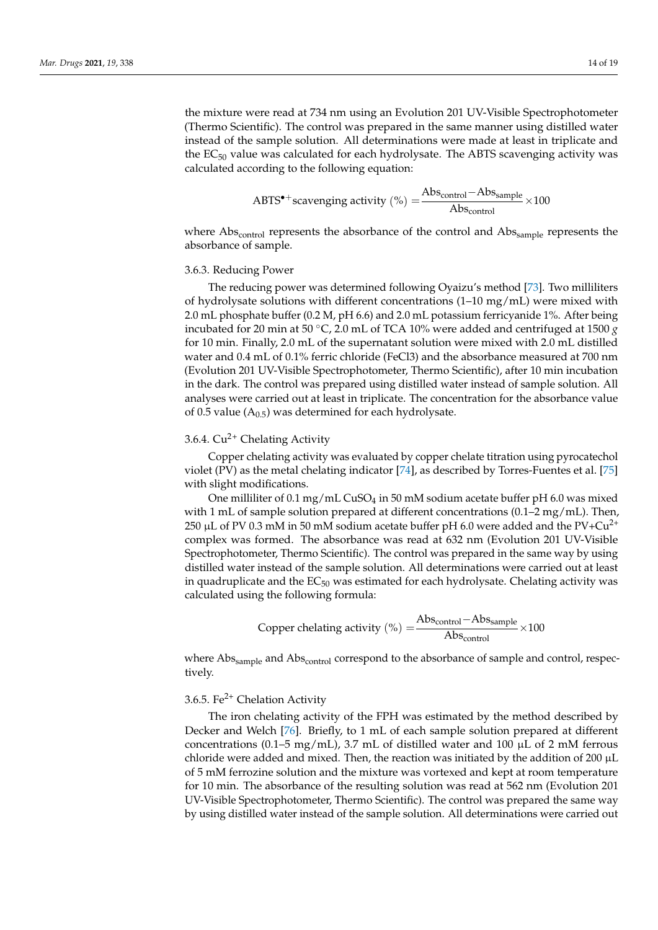the mixture were read at 734 nm using an Evolution 201 UV-Visible Spectrophotometer (Thermo Scientific). The control was prepared in the same manner using distilled water instead of the sample solution. All determinations were made at least in triplicate and the  $EC_{50}$  value was calculated for each hydrolysate. The ABTS scavenging activity was calculated according to the following equation:

$$
ABTS^{\bullet+}scavending activity (\%) = \frac{Abs_{control} - Abs_{sample}}{Abs_{control}} \times 100
$$

where  $Abs_{control}$  represents the absorbance of the control and  $Abs_{sample}$  represents the absorbance of sample.

## 3.6.3. Reducing Power

The reducing power was determined following Oyaizu's method [\[73\]](#page-18-18). Two milliliters of hydrolysate solutions with different concentrations (1–10 mg/mL) were mixed with 2.0 mL phosphate buffer (0.2 M, pH 6.6) and 2.0 mL potassium ferricyanide 1%. After being incubated for 20 min at 50 °C, 2.0 mL of TCA 10% were added and centrifuged at 1500  $g$ for 10 min. Finally, 2.0 mL of the supernatant solution were mixed with 2.0 mL distilled water and 0.4 mL of 0.1% ferric chloride (FeCl3) and the absorbance measured at 700 nm (Evolution 201 UV-Visible Spectrophotometer, Thermo Scientific), after 10 min incubation in the dark. The control was prepared using distilled water instead of sample solution. All analyses were carried out at least in triplicate. The concentration for the absorbance value of 0.5 value  $(A<sub>0.5</sub>)$  was determined for each hydrolysate.

# 3.6.4.  $Cu^{2+}$  Chelating Activity

Copper chelating activity was evaluated by copper chelate titration using pyrocatechol violet (PV) as the metal chelating indicator [\[74\]](#page-18-19), as described by Torres-Fuentes et al. [\[75\]](#page-18-20) with slight modifications.

One milliliter of 0.1 mg/mL CuSO<sub>4</sub> in 50 mM sodium acetate buffer pH 6.0 was mixed with 1 mL of sample solution prepared at different concentrations (0.1–2 mg/mL). Then, 250 µL of PV 0.3 mM in 50 mM sodium acetate buffer pH 6.0 were added and the  $PV+Cu^{2+}$ complex was formed. The absorbance was read at 632 nm (Evolution 201 UV-Visible Spectrophotometer, Thermo Scientific). The control was prepared in the same way by using distilled water instead of the sample solution. All determinations were carried out at least in quadruplicate and the  $EC_{50}$  was estimated for each hydrolysate. Chelating activity was calculated using the following formula:

Copper chelating activity (%) = 
$$
\frac{\text{Abs}_{control} - \text{Abs}_{sample}}{\text{Abs}_{control}} \times 100
$$

where Abs<sub>sample</sub> and Abs<sub>control</sub> correspond to the absorbance of sample and control, respectively.

# 3.6.5. Fe $^{2+}$  Chelation Activity

The iron chelating activity of the FPH was estimated by the method described by Decker and Welch [\[76\]](#page-18-21). Briefly, to 1 mL of each sample solution prepared at different concentrations (0.1–5 mg/mL), 3.7 mL of distilled water and 100  $\mu$ L of 2 mM ferrous chloride were added and mixed. Then, the reaction was initiated by the addition of 200  $\mu$ L of 5 mM ferrozine solution and the mixture was vortexed and kept at room temperature for 10 min. The absorbance of the resulting solution was read at 562 nm (Evolution 201 UV-Visible Spectrophotometer, Thermo Scientific). The control was prepared the same way by using distilled water instead of the sample solution. All determinations were carried out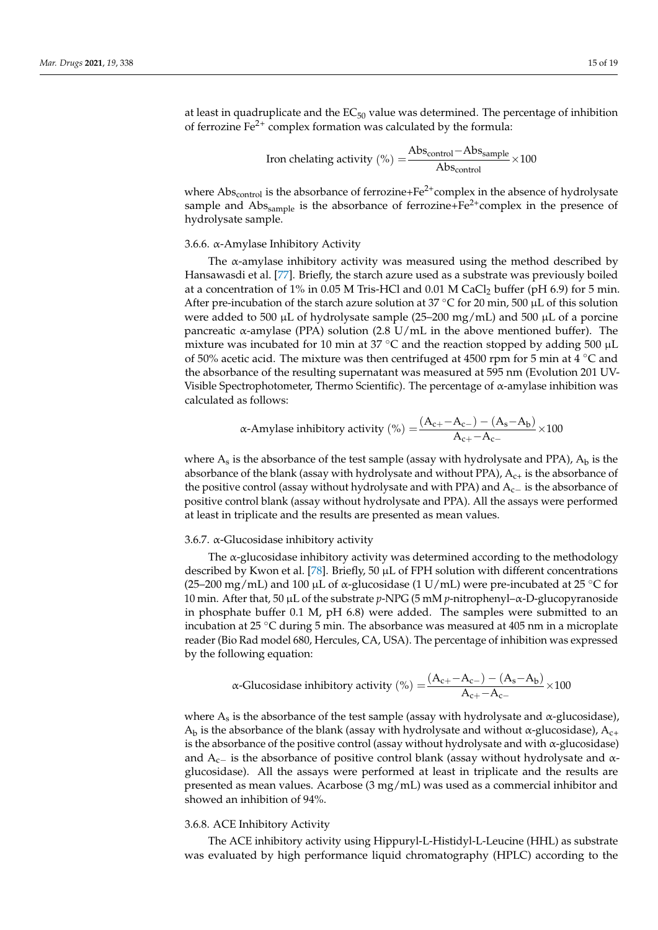at least in quadruplicate and the  $EC_{50}$  value was determined. The percentage of inhibition of ferrozine  $Fe^{2+}$  complex formation was calculated by the formula:

$$
Iron chelating activity (\%) = \frac{Abs_{control} - Abs_{sample}}{Abs_{control}} \times 100
$$

where  $Abs_{control}$  is the absorbance of ferrozine+ $Fe^{2+}$ complex in the absence of hydrolysate sample and  $\text{Abs}_{\text{sample}}$  is the absorbance of ferrozine+Fe<sup>2+</sup>complex in the presence of hydrolysate sample.

#### 3.6.6. α-Amylase Inhibitory Activity

The  $\alpha$ -amylase inhibitory activity was measured using the method described by Hansawasdi et al. [\[77\]](#page-18-22). Briefly, the starch azure used as a substrate was previously boiled at a concentration of 1% in 0.05 M Tris-HCl and 0.01 M CaCl<sub>2</sub> buffer (pH 6.9) for 5 min. After pre-incubation of the starch azure solution at  $37 \degree C$  for 20 min, 500 µL of this solution were added to 500  $\mu$ L of hydrolysate sample (25–200 mg/mL) and 500  $\mu$ L of a porcine pancreatic α-amylase (PPA) solution  $(2.8 \text{ U/mL}$  in the above mentioned buffer). The mixture was incubated for 10 min at 37 °C and the reaction stopped by adding 500  $\mu$ L of 50% acetic acid. The mixture was then centrifuged at 4500 rpm for 5 min at 4 ◦C and the absorbance of the resulting supernatant was measured at 595 nm (Evolution 201 UV-Visible Spectrophotometer, Thermo Scientific). The percentage of  $\alpha$ -amylase inhibition was calculated as follows:

$$
\alpha\text{-Amylase inhibitory activity } (\%) = \frac{(A_{c+}-A_{c-})-(A_s-A_b)}{A_{c+}-A_{c-}} \times 100
$$

where  $A_s$  is the absorbance of the test sample (assay with hydrolysate and PPA),  $A_b$  is the absorbance of the blank (assay with hydrolysate and without PPA),  $A_{c+}$  is the absorbance of the positive control (assay without hydrolysate and with PPA) and A<sub>c−</sub> is the absorbance of positive control blank (assay without hydrolysate and PPA). All the assays were performed at least in triplicate and the results are presented as mean values.

## 3.6.7.  $\alpha$ -Glucosidase inhibitory activity

The  $\alpha$ -glucosidase inhibitory activity was determined according to the methodology described by Kwon et al. [\[78\]](#page-18-23). Briefly, 50  $\mu$ L of FPH solution with different concentrations (25–200 mg/mL) and 100  $\mu$ L of  $\alpha$ -glucosidase (1 U/mL) were pre-incubated at 25 °C for 10 min. After that, 50 µL of the substrate *p*-NPG (5 mM *p*-nitrophenyl–α-D-glucopyranoside in phosphate buffer 0.1 M, pH 6.8) were added. The samples were submitted to an incubation at 25 ◦C during 5 min. The absorbance was measured at 405 nm in a microplate reader (Bio Rad model 680, Hercules, CA, USA). The percentage of inhibition was expressed by the following equation:

$$
\alpha\text{-Glucosidase inhibitory activity } (\%) = \frac{(A_{c+} - A_{c-}) - (A_s - A_b)}{A_{c+} - A_{c-}} \times 100
$$

where  $A_s$  is the absorbance of the test sample (assay with hydrolysate and  $\alpha$ -glucosidase),  $A_b$  is the absorbance of the blank (assay with hydrolysate and without  $\alpha$ -glucosidase),  $A_{c+}$ is the absorbance of the positive control (assay without hydrolysate and with  $\alpha$ -glucosidase) and  $A_{c-}$  is the absorbance of positive control blank (assay without hydrolysate and  $\alpha$ glucosidase). All the assays were performed at least in triplicate and the results are presented as mean values. Acarbose (3 mg/mL) was used as a commercial inhibitor and showed an inhibition of 94%.

#### 3.6.8. ACE Inhibitory Activity

The ACE inhibitory activity using Hippuryl-L-Histidyl-L-Leucine (HHL) as substrate was evaluated by high performance liquid chromatography (HPLC) according to the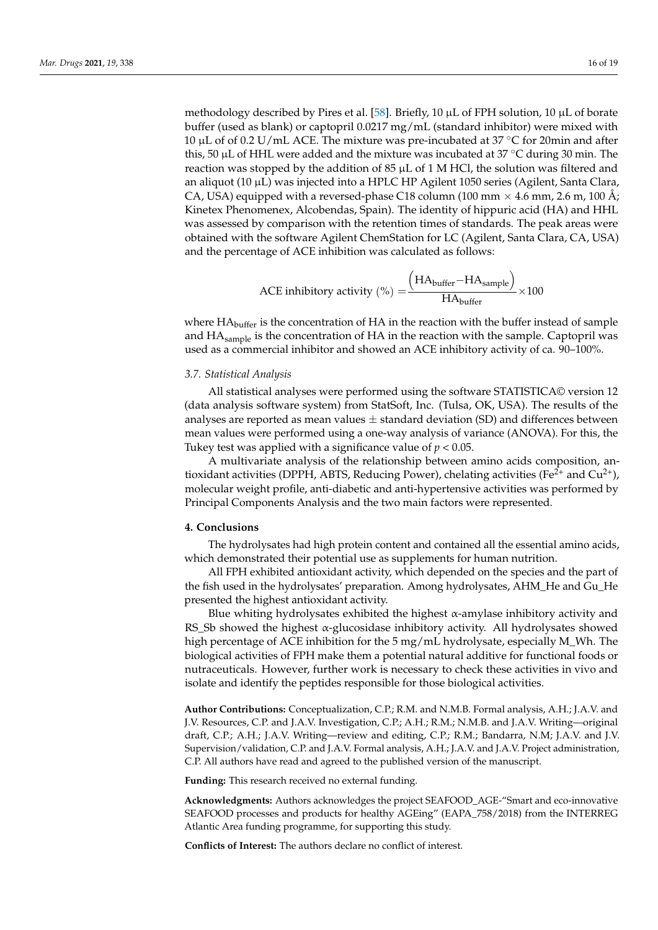methodology described by Pires et al. [\[58\]](#page-18-5). Briefly, 10 µL of FPH solution, 10 µL of borate buffer (used as blank) or captopril 0.0217 mg/mL (standard inhibitor) were mixed with 10 µL of of 0.2 U/mL ACE. The mixture was pre-incubated at 37  $\degree$ C for 20min and after this, 50  $\mu$ L of HHL were added and the mixture was incubated at 37 °C during 30 min. The reaction was stopped by the addition of 85  $\mu$ L of 1 M HCl, the solution was filtered and an aliquot (10  $\mu$ L) was injected into a HPLC HP Agilent 1050 series (Agilent, Santa Clara, CA, USA) equipped with a reversed-phase C18 column (100 mm  $\times$  4.6 mm, 2.6 m, 100 Å; Kinetex Phenomenex, Alcobendas, Spain). The identity of hippuric acid (HA) and HHL was assessed by comparison with the retention times of standards. The peak areas were obtained with the software Agilent ChemStation for LC (Agilent, Santa Clara, CA, USA) and the percentage of ACE inhibition was calculated as follows:

$$
ACE inhibitory activity (\%) = \frac{\left(HA_{buffer} - HA_{sample}\right)}{HA_{buffer}} \times 100
$$

where  $HA<sub>buffer</sub>$  is the concentration of  $HA$  in the reaction with the buffer instead of sample and HA<sub>sample</sub> is the concentration of HA in the reaction with the sample. Captopril was used as a commercial inhibitor and showed an ACE inhibitory activity of ca. 90–100%.

#### *3.7. Statistical Analysis*

All statistical analyses were performed using the software STATISTICA© version 12 (data analysis software system) from StatSoft, Inc. (Tulsa, OK, USA). The results of the analyses are reported as mean values  $\pm$  standard deviation (SD) and differences between mean values were performed using a one-way analysis of variance (ANOVA). For this, the Tukey test was applied with a significance value of *p* < 0.05.

A multivariate analysis of the relationship between amino acids composition, antioxidant activities (DPPH, ABTS, Reducing Power), chelating activities (Fe<sup>2+</sup> and Cu<sup>2+</sup>), molecular weight profile, anti-diabetic and anti-hypertensive activities was performed by Principal Components Analysis and the two main factors were represented.

#### **4. Conclusions**

The hydrolysates had high protein content and contained all the essential amino acids, which demonstrated their potential use as supplements for human nutrition.

All FPH exhibited antioxidant activity, which depended on the species and the part of the fish used in the hydrolysates' preparation. Among hydrolysates, AHM\_He and Gu\_He presented the highest antioxidant activity.

Blue whiting hydrolysates exhibited the highest  $\alpha$ -amylase inhibitory activity and RS\_Sb showed the highest  $\alpha$ -glucosidase inhibitory activity. All hydrolysates showed high percentage of ACE inhibition for the 5 mg/mL hydrolysate, especially M\_Wh. The biological activities of FPH make them a potential natural additive for functional foods or nutraceuticals. However, further work is necessary to check these activities in vivo and isolate and identify the peptides responsible for those biological activities.

**Author Contributions:** Conceptualization, C.P.; R.M. and N.M.B. Formal analysis, A.H.; J.A.V. and J.V. Resources, C.P. and J.A.V. Investigation, C.P.; A.H.; R.M.; N.M.B. and J.A.V. Writing—original draft, C.P.; A.H.; J.A.V. Writing—review and editing, C.P.; R.M.; Bandarra, N.M; J.A.V. and J.V. Supervision/validation, C.P. and J.A.V. Formal analysis, A.H.; J.A.V. and J.A.V. Project administration, C.P. All authors have read and agreed to the published version of the manuscript.

**Funding:** This research received no external funding.

**Acknowledgments:** Authors acknowledges the project SEAFOOD\_AGE-"Smart and eco-innovative SEAFOOD processes and products for healthy AGEing" (EAPA\_758/2018) from the INTERREG Atlantic Area funding programme, for supporting this study.

**Conflicts of Interest:** The authors declare no conflict of interest.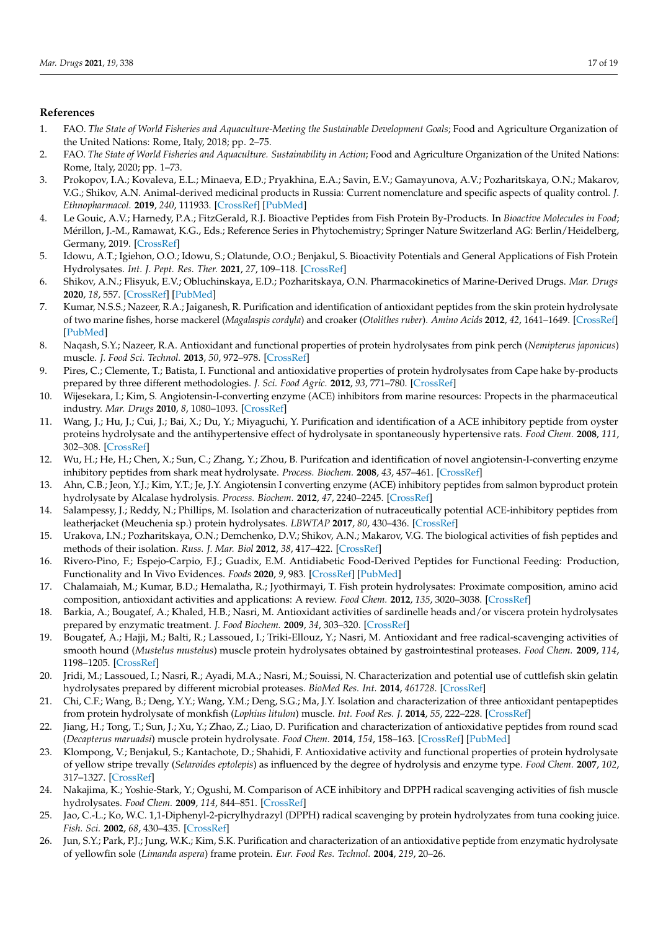# **References**

- <span id="page-16-0"></span>1. FAO. *The State of World Fisheries and Aquaculture-Meeting the Sustainable Development Goals*; Food and Agriculture Organization of the United Nations: Rome, Italy, 2018; pp. 2–75.
- <span id="page-16-1"></span>2. FAO. *The State of World Fisheries and Aquaculture. Sustainability in Action*; Food and Agriculture Organization of the United Nations: Rome, Italy, 2020; pp. 1–73.
- <span id="page-16-2"></span>3. Prokopov, I.A.; Kovaleva, E.L.; Minaeva, E.D.; Pryakhina, E.A.; Savin, E.V.; Gamayunova, A.V.; Pozharitskaya, O.N.; Makarov, V.G.; Shikov, A.N. Animal-derived medicinal products in Russia: Current nomenclature and specific aspects of quality control. *J. Ethnopharmacol.* **2019**, *240*, 111933. [\[CrossRef\]](http://doi.org/10.1016/j.jep.2019.111933) [\[PubMed\]](http://www.ncbi.nlm.nih.gov/pubmed/31116966)
- <span id="page-16-3"></span>4. Le Gouic, A.V.; Harnedy, P.A.; FitzGerald, R.J. Bioactive Peptides from Fish Protein By-Products. In *Bioactive Molecules in Food*; Mérillon, J.-M., Ramawat, K.G., Eds.; Reference Series in Phytochemistry; Springer Nature Switzerland AG: Berlin/Heidelberg, Germany, 2019. [\[CrossRef\]](http://doi.org/10.1007/978-3-319-78030-6_29)
- <span id="page-16-4"></span>5. Idowu, A.T.; Igiehon, O.O.; Idowu, S.; Olatunde, O.O.; Benjakul, S. Bioactivity Potentials and General Applications of Fish Protein Hydrolysates. *Int. J. Pept. Res. Ther.* **2021**, *27*, 109–118. [\[CrossRef\]](http://doi.org/10.1007/s10989-020-10071-1)
- <span id="page-16-5"></span>6. Shikov, A.N.; Flisyuk, E.V.; Obluchinskaya, E.D.; Pozharitskaya, O.N. Pharmacokinetics of Marine-Derived Drugs. *Mar. Drugs* **2020**, *18*, 557. [\[CrossRef\]](http://doi.org/10.3390/md18110557) [\[PubMed\]](http://www.ncbi.nlm.nih.gov/pubmed/33182407)
- <span id="page-16-6"></span>7. Kumar, N.S.S.; Nazeer, R.A.; Jaiganesh, R. Purification and identification of antioxidant peptides from the skin protein hydrolysate of two marine fishes, horse mackerel (*Magalaspis cordyla*) and croaker (*Otolithes ruber*). *Amino Acids* **2012**, *42*, 1641–1649. [\[CrossRef\]](http://doi.org/10.1007/s00726-011-0858-6) [\[PubMed\]](http://www.ncbi.nlm.nih.gov/pubmed/21384132)
- <span id="page-16-7"></span>8. Naqash, S.Y.; Nazeer, R.A. Antioxidant and functional properties of protein hydrolysates from pink perch (*Nemipterus japonicus*) muscle. *J. Food Sci. Technol.* **2013**, *50*, 972–978. [\[CrossRef\]](http://doi.org/10.1007/s13197-011-0416-y)
- <span id="page-16-8"></span>9. Pires, C.; Clemente, T.; Batista, I. Functional and antioxidative properties of protein hydrolysates from Cape hake by-products prepared by three different methodologies. *J. Sci. Food Agric.* **2012**, *93*, 771–780. [\[CrossRef\]](http://doi.org/10.1002/jsfa.5796)
- <span id="page-16-9"></span>10. Wijesekara, I.; Kim, S. Angiotensin-I-converting enzyme (ACE) inhibitors from marine resources: Propects in the pharmaceutical industry. *Mar. Drugs* **2010**, *8*, 1080–1093. [\[CrossRef\]](http://doi.org/10.3390/md8041080)
- <span id="page-16-10"></span>11. Wang, J.; Hu, J.; Cui, J.; Bai, X.; Du, Y.; Miyaguchi, Y. Purification and identification of a ACE inhibitory peptide from oyster proteins hydrolysate and the antihypertensive effect of hydrolysate in spontaneously hypertensive rats. *Food Chem.* **2008**, *111*, 302–308. [\[CrossRef\]](http://doi.org/10.1016/j.foodchem.2008.03.059)
- <span id="page-16-11"></span>12. Wu, H.; He, H.; Chen, X.; Sun, C.; Zhang, Y.; Zhou, B. Purifcation and identification of novel angiotensin-I-converting enzyme inhibitory peptides from shark meat hydrolysate. *Process. Biochem.* **2008**, *43*, 457–461. [\[CrossRef\]](http://doi.org/10.1016/j.procbio.2008.01.018)
- <span id="page-16-12"></span>13. Ahn, C.B.; Jeon, Y.J.; Kim, Y.T.; Je, J.Y. Angiotensin I converting enzyme (ACE) inhibitory peptides from salmon byproduct protein hydrolysate by Alcalase hydrolysis. *Process. Biochem.* **2012**, *47*, 2240–2245. [\[CrossRef\]](http://doi.org/10.1016/j.procbio.2012.08.019)
- <span id="page-16-13"></span>14. Salampessy, J.; Reddy, N.; Phillips, M. Isolation and characterization of nutraceutically potential ACE-inhibitory peptides from leatherjacket (Meuchenia sp.) protein hydrolysates. *LBWTAP* **2017**, *80*, 430–436. [\[CrossRef\]](http://doi.org/10.1016/j.lwt.2017.03.004)
- <span id="page-16-14"></span>15. Urakova, I.N.; Pozharitskaya, O.N.; Demchenko, D.V.; Shikov, A.N.; Makarov, V.G. The biological activities of fish peptides and methods of their isolation. *Russ. J. Mar. Biol* **2012**, *38*, 417–422. [\[CrossRef\]](http://doi.org/10.1134/S1063074012060090)
- <span id="page-16-15"></span>16. Rivero-Pino, F.; Espejo-Carpio, F.J.; Guadix, E.M. Antidiabetic Food-Derived Peptides for Functional Feeding: Production, Functionality and In Vivo Evidences. *Foods* **2020**, *9*, 983. [\[CrossRef\]](http://doi.org/10.3390/foods9080983) [\[PubMed\]](http://www.ncbi.nlm.nih.gov/pubmed/32718070)
- <span id="page-16-16"></span>17. Chalamaiah, M.; Kumar, B.D.; Hemalatha, R.; Jyothirmayi, T. Fish protein hydrolysates: Proximate composition, amino acid composition, antioxidant activities and applications: A review. *Food Chem.* **2012**, *135*, 3020–3038. [\[CrossRef\]](http://doi.org/10.1016/j.foodchem.2012.06.100)
- <span id="page-16-17"></span>18. Barkia, A.; Bougatef, A.; Khaled, H.B.; Nasri, M. Antioxidant activities of sardinelle heads and/or viscera protein hydrolysates prepared by enzymatic treatment. *J. Food Biochem.* **2009**, *34*, 303–320. [\[CrossRef\]](http://doi.org/10.1111/j.1745-4514.2009.00331.x)
- <span id="page-16-18"></span>19. Bougatef, A.; Hajji, M.; Balti, R.; Lassoued, I.; Triki-Ellouz, Y.; Nasri, M. Antioxidant and free radical-scavenging activities of smooth hound (*Mustelus mustelus*) muscle protein hydrolysates obtained by gastrointestinal proteases. *Food Chem.* **2009**, *114*, 1198–1205. [\[CrossRef\]](http://doi.org/10.1016/j.foodchem.2008.10.075)
- 20. Jridi, M.; Lassoued, I.; Nasri, R.; Ayadi, M.A.; Nasri, M.; Souissi, N. Characterization and potential use of cuttlefish skin gelatin hydrolysates prepared by different microbial proteases. *BioMed Res. Int.* **2014**, *461728*. [\[CrossRef\]](http://doi.org/10.1155/2014/461728)
- <span id="page-16-19"></span>21. Chi, C.F.; Wang, B.; Deng, Y.Y.; Wang, Y.M.; Deng, S.G.; Ma, J.Y. Isolation and characterization of three antioxidant pentapeptides from protein hydrolysate of monkfish (*Lophius litulon*) muscle. *Int. Food Res. J.* **2014**, *55*, 222–228. [\[CrossRef\]](http://doi.org/10.1016/j.foodres.2013.11.018)
- <span id="page-16-20"></span>22. Jiang, H.; Tong, T.; Sun, J.; Xu, Y.; Zhao, Z.; Liao, D. Purification and characterization of antioxidative peptides from round scad (*Decapterus maruadsi*) muscle protein hydrolysate. *Food Chem.* **2014**, *154*, 158–163. [\[CrossRef\]](http://doi.org/10.1016/j.foodchem.2013.12.074) [\[PubMed\]](http://www.ncbi.nlm.nih.gov/pubmed/24518328)
- <span id="page-16-21"></span>23. Klompong, V.; Benjakul, S.; Kantachote, D.; Shahidi, F. Antioxidative activity and functional properties of protein hydrolysate of yellow stripe trevally (*Selaroides eptolepis*) as influenced by the degree of hydrolysis and enzyme type. *Food Chem.* **2007**, *102*, 317–1327. [\[CrossRef\]](http://doi.org/10.1016/j.foodchem.2006.07.016)
- <span id="page-16-22"></span>24. Nakajima, K.; Yoshie-Stark, Y.; Ogushi, M. Comparison of ACE inhibitory and DPPH radical scavenging activities of fish muscle hydrolysates. *Food Chem.* **2009**, *114*, 844–851. [\[CrossRef\]](http://doi.org/10.1016/j.foodchem.2008.10.083)
- <span id="page-16-23"></span>25. Jao, C.-L.; Ko, W.C. 1,1-Diphenyl-2-picrylhydrazyl (DPPH) radical scavenging by protein hydrolyzates from tuna cooking juice. *Fish. Sci.* **2002**, *68*, 430–435. [\[CrossRef\]](http://doi.org/10.1046/j.1444-2906.2002.00442.x)
- <span id="page-16-24"></span>26. Jun, S.Y.; Park, P.J.; Jung, W.K.; Kim, S.K. Purification and characterization of an antioxidative peptide from enzymatic hydrolysate of yellowfin sole (*Limanda aspera*) frame protein. *Eur. Food Res. Technol.* **2004**, *219*, 20–26.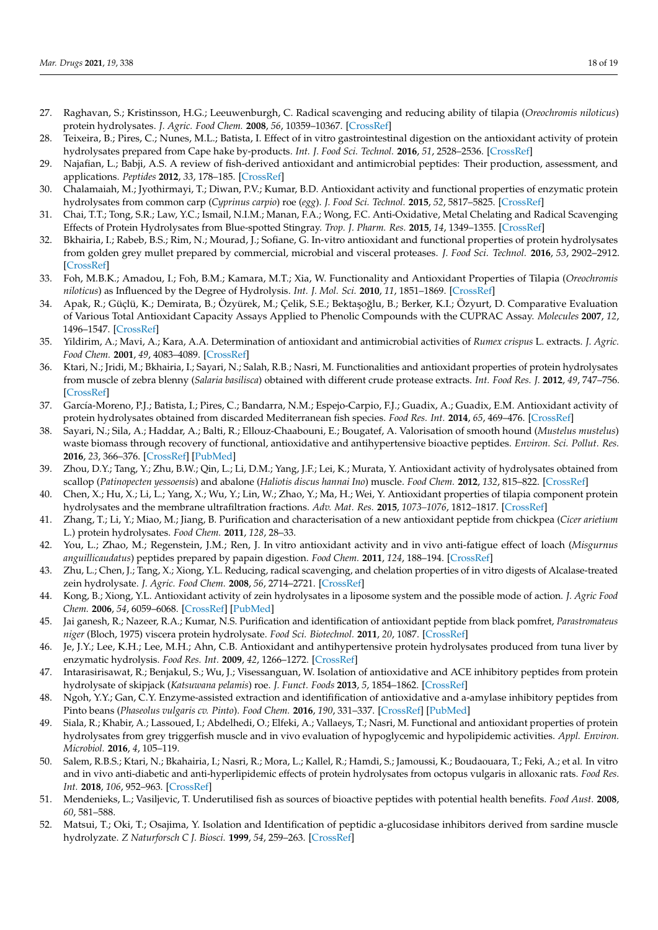- <span id="page-17-0"></span>27. Raghavan, S.; Kristinsson, H.G.; Leeuwenburgh, C. Radical scavenging and reducing ability of tilapia (*Oreochromis niloticus*) protein hydrolysates. *J. Agric. Food Chem.* **2008**, *56*, 10359–10367. [\[CrossRef\]](http://doi.org/10.1021/jf8017194)
- <span id="page-17-1"></span>28. Teixeira, B.; Pires, C.; Nunes, M.L.; Batista, I. Effect of in vitro gastrointestinal digestion on the antioxidant activity of protein hydrolysates prepared from Cape hake by-products. *Int. J. Food Sci. Technol.* **2016**, *51*, 2528–2536. [\[CrossRef\]](http://doi.org/10.1111/ijfs.13233)
- <span id="page-17-2"></span>29. Najafian, L.; Babji, A.S. A review of fish-derived antioxidant and antimicrobial peptides: Their production, assessment, and applications. *Peptides* **2012**, *33*, 178–185. [\[CrossRef\]](http://doi.org/10.1016/j.peptides.2011.11.013)
- <span id="page-17-3"></span>30. Chalamaiah, M.; Jyothirmayi, T.; Diwan, P.V.; Kumar, B.D. Antioxidant activity and functional properties of enzymatic protein hydrolysates from common carp (*Cyprinus carpio*) roe (*egg*). *J. Food Sci. Technol.* **2015**, *52*, 5817–5825. [\[CrossRef\]](http://doi.org/10.1007/s13197-015-1714-6)
- <span id="page-17-4"></span>31. Chai, T.T.; Tong, S.R.; Law, Y.C.; Ismail, N.I.M.; Manan, F.A.; Wong, F.C. Anti-Oxidative, Metal Chelating and Radical Scavenging Effects of Protein Hydrolysates from Blue-spotted Stingray. *Trop. J. Pharm. Res.* **2015**, *14*, 1349–1355. [\[CrossRef\]](http://doi.org/10.4314/tjpr.v14i8.5)
- <span id="page-17-5"></span>32. Bkhairia, I.; Rabeb, B.S.; Rim, N.; Mourad, J.; Sofiane, G. In-vitro antioxidant and functional properties of protein hydrolysates from golden grey mullet prepared by commercial, microbial and visceral proteases. *J. Food Sci. Technol.* **2016**, *53*, 2902–2912. [\[CrossRef\]](http://doi.org/10.1007/s13197-016-2200-5)
- <span id="page-17-6"></span>33. Foh, M.B.K.; Amadou, I.; Foh, B.M.; Kamara, M.T.; Xia, W. Functionality and Antioxidant Properties of Tilapia (*Oreochromis niloticus*) as Influenced by the Degree of Hydrolysis. *Int. J. Mol. Sci.* **2010**, *11*, 1851–1869. [\[CrossRef\]](http://doi.org/10.3390/ijms11041851)
- <span id="page-17-7"></span>34. Apak, R.; Güçlü, K.; Demirata, B.; Özyürek, M.; Çelik, S.E.; Bektaşoğlu, B.; Berker, K.I.; Özyurt, D. Comparative Evaluation of Various Total Antioxidant Capacity Assays Applied to Phenolic Compounds with the CUPRAC Assay. *Molecules* **2007**, *12*, 1496–1547. [\[CrossRef\]](http://doi.org/10.3390/12071496)
- <span id="page-17-8"></span>35. Yildirim, A.; Mavi, A.; Kara, A.A. Determination of antioxidant and antimicrobial activities of *Rumex crispus* L. extracts. *J. Agric. Food Chem.* **2001**, *49*, 4083–4089. [\[CrossRef\]](http://doi.org/10.1021/jf0103572)
- <span id="page-17-9"></span>36. Ktari, N.; Jridi, M.; Bkhairia, I.; Sayari, N.; Salah, R.B.; Nasri, M. Functionalities and antioxidant properties of protein hydrolysates from muscle of zebra blenny (*Salaria basilisca*) obtained with different crude protease extracts. *Int. Food Res. J.* **2012**, *49*, 747–756. [\[CrossRef\]](http://doi.org/10.1016/j.foodres.2012.09.024)
- <span id="page-17-12"></span>37. García-Moreno, P.J.; Batista, I.; Pires, C.; Bandarra, N.M.; Espejo-Carpio, F.J.; Guadix, A.; Guadix, E.M. Antioxidant activity of protein hydrolysates obtained from discarded Mediterranean fish species. *Food Res. Int.* **2014**, *65*, 469–476. [\[CrossRef\]](http://doi.org/10.1016/j.foodres.2014.03.061)
- <span id="page-17-10"></span>38. Sayari, N.; Sila, A.; Haddar, A.; Balti, R.; Ellouz-Chaabouni, E.; Bougatef, A. Valorisation of smooth hound (*Mustelus mustelus*) waste biomass through recovery of functional, antioxidative and antihypertensive bioactive peptides. *Environ. Sci. Pollut. Res.* **2016**, *23*, 366–376. [\[CrossRef\]](http://doi.org/10.1007/s11356-015-5244-6) [\[PubMed\]](http://www.ncbi.nlm.nih.gov/pubmed/26308921)
- <span id="page-17-11"></span>39. Zhou, D.Y.; Tang, Y.; Zhu, B.W.; Qin, L.; Li, D.M.; Yang, J.F.; Lei, K.; Murata, Y. Antioxidant activity of hydrolysates obtained from scallop (*Patinopecten yessoensis*) and abalone (*Haliotis discus hannai Ino*) muscle. *Food Chem.* **2012**, *132*, 815–822. [\[CrossRef\]](http://doi.org/10.1016/j.foodchem.2011.11.041)
- <span id="page-17-13"></span>40. Chen, X.; Hu, X.; Li, L.; Yang, X.; Wu, Y.; Lin, W.; Zhao, Y.; Ma, H.; Wei, Y. Antioxidant properties of tilapia component protein hydrolysates and the membrane ultrafiltration fractions. *Adv. Mat. Res.* **2015**, *1073–1076*, 1812–1817. [\[CrossRef\]](http://doi.org/10.4028/www.scientific.net/AMR.1073-1076.1812)
- <span id="page-17-14"></span>41. Zhang, T.; Li, Y.; Miao, M.; Jiang, B. Purification and characterisation of a new antioxidant peptide from chickpea (*Cicer arietium* L.) protein hydrolysates. *Food Chem.* **2011**, *128*, 28–33.
- <span id="page-17-15"></span>42. You, L.; Zhao, M.; Regenstein, J.M.; Ren, J. In vitro antioxidant activity and in vivo anti-fatigue effect of loach (*Misgurnus anguillicaudatus*) peptides prepared by papain digestion. *Food Chem.* **2011**, *124*, 188–194. [\[CrossRef\]](http://doi.org/10.1016/j.foodchem.2010.06.007)
- <span id="page-17-16"></span>43. Zhu, L.; Chen, J.; Tang, X.; Xiong, Y.L. Reducing, radical scavenging, and chelation properties of in vitro digests of Alcalase-treated zein hydrolysate. *J. Agric. Food Chem.* **2008**, *56*, 2714–2721. [\[CrossRef\]](http://doi.org/10.1021/jf703697e)
- <span id="page-17-17"></span>44. Kong, B.; Xiong, Y.L. Antioxidant activity of zein hydrolysates in a liposome system and the possible mode of action. *J. Agric Food Chem.* **2006**, *54*, 6059–6068. [\[CrossRef\]](http://doi.org/10.1021/jf060632q) [\[PubMed\]](http://www.ncbi.nlm.nih.gov/pubmed/16881717)
- <span id="page-17-18"></span>45. Jai ganesh, R.; Nazeer, R.A.; Kumar, N.S. Purification and identification of antioxidant peptide from black pomfret, *Parastromateus niger* (Bloch, 1975) viscera protein hydrolysate. *Food Sci. Biotechnol.* **2011**, *20*, 1087. [\[CrossRef\]](http://doi.org/10.1007/s10068-011-0147-x)
- <span id="page-17-19"></span>46. Je, J.Y.; Lee, K.H.; Lee, M.H.; Ahn, C.B. Antioxidant and antihypertensive protein hydrolysates produced from tuna liver by enzymatic hydrolysis. *Food Res. Int.* **2009**, *42*, 1266–1272. [\[CrossRef\]](http://doi.org/10.1016/j.foodres.2009.06.013)
- <span id="page-17-20"></span>47. Intarasirisawat, R.; Benjakul, S.; Wu, J.; Visessanguan, W. Isolation of antioxidative and ACE inhibitory peptides from protein hydrolysate of skipjack (*Katsuwana pelamis*) roe. *J. Funct. Foods* **2013**, *5*, 1854–1862. [\[CrossRef\]](http://doi.org/10.1016/j.jff.2013.09.006)
- <span id="page-17-21"></span>48. Ngoh, Y.Y.; Gan, C.Y. Enzyme-assisted extraction and identifification of antioxidative and a-amylase inhibitory peptides from Pinto beans (*Phaseolus vulgaris cv. Pinto*). *Food Chem.* **2016**, *190*, 331–337. [\[CrossRef\]](http://doi.org/10.1016/j.foodchem.2015.05.120) [\[PubMed\]](http://www.ncbi.nlm.nih.gov/pubmed/26212978)
- <span id="page-17-22"></span>49. Siala, R.; Khabir, A.; Lassoued, I.; Abdelhedi, O.; Elfeki, A.; Vallaeys, T.; Nasri, M. Functional and antioxidant properties of protein hydrolysates from grey triggerfish muscle and in vivo evaluation of hypoglycemic and hypolipidemic activities. *Appl. Environ. Microbiol.* **2016**, *4*, 105–119.
- <span id="page-17-23"></span>50. Salem, R.B.S.; Ktari, N.; Bkahairia, I.; Nasri, R.; Mora, L.; Kallel, R.; Hamdi, S.; Jamoussi, K.; Boudaouara, T.; Feki, A.; et al. In vitro and in vivo anti-diabetic and anti-hyperlipidemic effects of protein hydrolysates from octopus vulgaris in alloxanic rats. *Food Res. Int.* **2018**, *106*, 952–963. [\[CrossRef\]](http://doi.org/10.1016/j.foodres.2018.01.068)
- <span id="page-17-24"></span>51. Mendenieks, L.; Vasiljevic, T. Underutilised fish as sources of bioactive peptides with potential health benefits. *Food Aust.* **2008**, *60*, 581–588.
- <span id="page-17-25"></span>52. Matsui, T.; Oki, T.; Osajima, Y. Isolation and Identification of peptidic a-glucosidase inhibitors derived from sardine muscle hydrolyzate. *Z Naturforsch C J. Biosci.* **1999**, *54*, 259–263. [\[CrossRef\]](http://doi.org/10.1515/znc-1999-3-417)